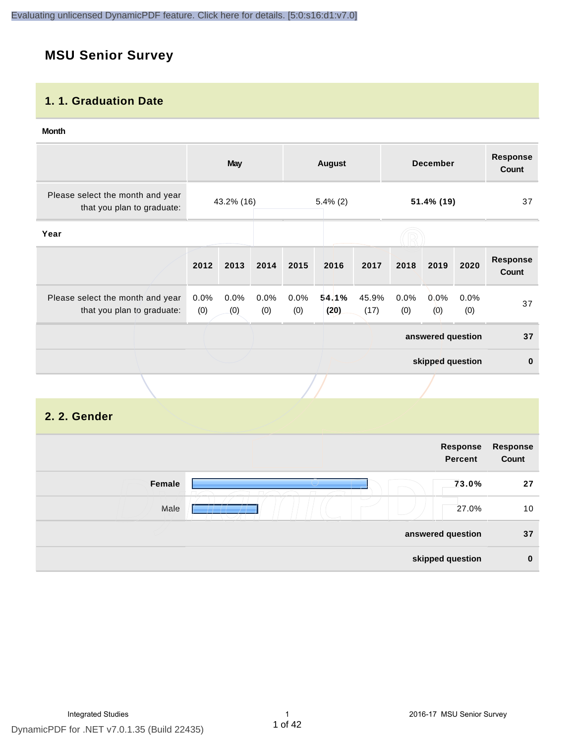# **MSU Senior Survey**

### **1. 1. Graduation Date**

#### **Month**

|                                                                |                | <b>May</b>  |             |             | <b>August</b> |               |             | <b>December</b>   |             | <b>Response</b><br><b>Count</b> |
|----------------------------------------------------------------|----------------|-------------|-------------|-------------|---------------|---------------|-------------|-------------------|-------------|---------------------------------|
| Please select the month and year<br>that you plan to graduate: |                | 43.2% (16)  |             |             | $5.4\%$ (2)   |               | 51.4% (19)  |                   | 37          |                                 |
| Year                                                           |                |             |             |             |               |               |             |                   |             |                                 |
|                                                                | 2012           | 2013        | 2014        | 2015        | 2016          | 2017          | 2018        | 2019              | 2020        | <b>Response</b><br>Count        |
| Please select the month and year<br>that you plan to graduate: | $0.0\%$<br>(0) | 0.0%<br>(0) | 0.0%<br>(0) | 0.0%<br>(0) | 54.1%<br>(20) | 45.9%<br>(17) | 0.0%<br>(0) | $0.0\%$<br>(0)    | 0.0%<br>(0) | 37                              |
|                                                                |                |             |             |             |               |               |             | answered question |             | 37                              |
|                                                                |                |             |             |             |               |               |             | skipped question  |             | $\mathbf{0}$                    |
|                                                                |                |             |             |             |               |               |             |                   |             |                                 |

# **2. 2. Gender**

|        | Response<br><b>Percent</b> | Response<br>Count |
|--------|----------------------------|-------------------|
| Female | 73.0%                      | 27                |
| Male   | 27.0%                      | 10                |
|        | answered question          | 37                |
|        | skipped question           | $\mathbf 0$       |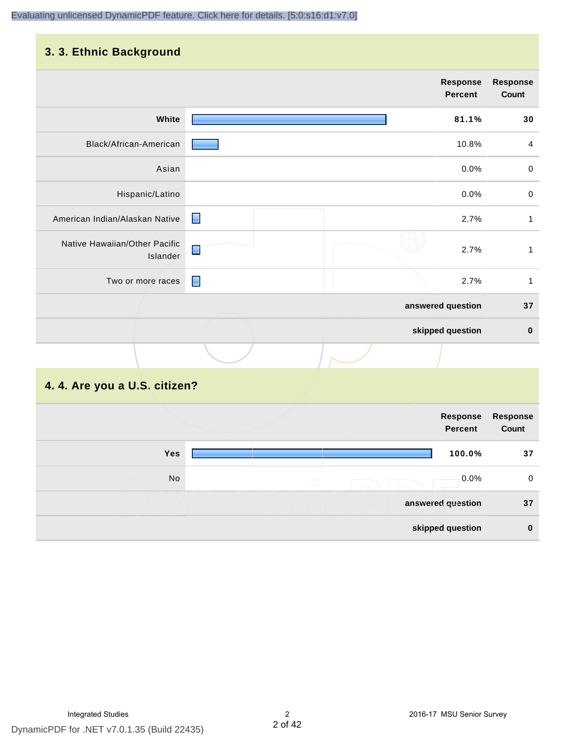#### **3. 3. Ethnic Background**

|                                           | <b>Response</b><br><b>Percent</b> | <b>Response</b><br>Count |
|-------------------------------------------|-----------------------------------|--------------------------|
| White                                     | 81.1%                             | 30                       |
| Black/African-American                    | 10.8%                             | 4                        |
| Asian                                     | 0.0%                              | $\,0\,$                  |
| Hispanic/Latino                           | 0.0%                              | $\,0\,$                  |
| American Indian/Alaskan Native            | $\blacksquare$<br>2.7%            | 1                        |
| Native Hawaiian/Other Pacific<br>Islander | E<br>2.7%                         | $\mathbf 1$              |
| Two or more races                         | ■<br>2.7%                         | 1                        |
|                                           | answered question                 | 37                       |
|                                           | skipped question                  | $\pmb{0}$                |
|                                           |                                   |                          |

# **4. 4. Are you a U.S. citizen?**

|     | Response<br>Percent | Response<br>Count |
|-----|---------------------|-------------------|
| Yes | 100.0%              | 37                |
| No  | 0.0%<br>$\bigcirc$  | 0                 |
|     | answered question   | 37                |
|     | skipped question    | $\bf{0}$          |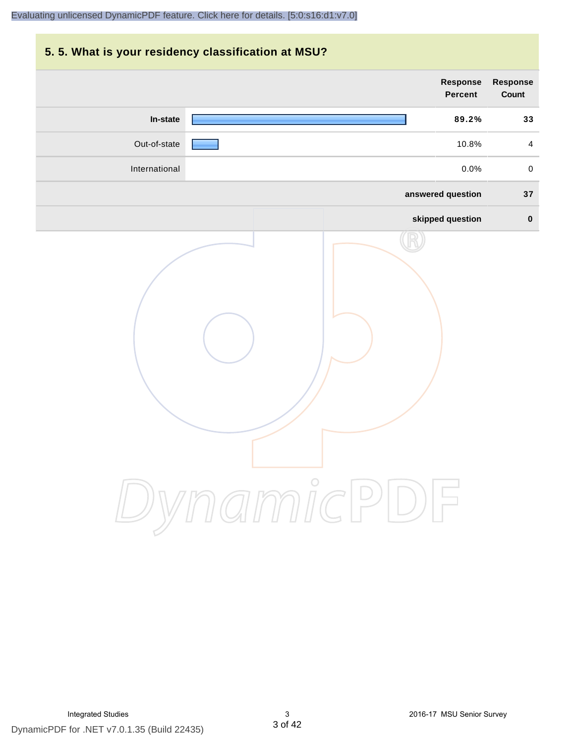# **5. 5. What is your residency classification at MSU? answered question 37 skipped question 0 Response Percent Response Count In-state 89.2% 33** Out-of-state 10.8% 4 International 0.0% 0 [Evaluating unlicensed DynamicPDF feature. Click here for details. \[5:0:s16:d1:v7.0\]](http://www.DynamicPDF.com/dplic/?d=T(EuYmIrxFe0nIre)

DynamicPDF for .NET v7.0.1.35 (Build 22435)

DynamicPDF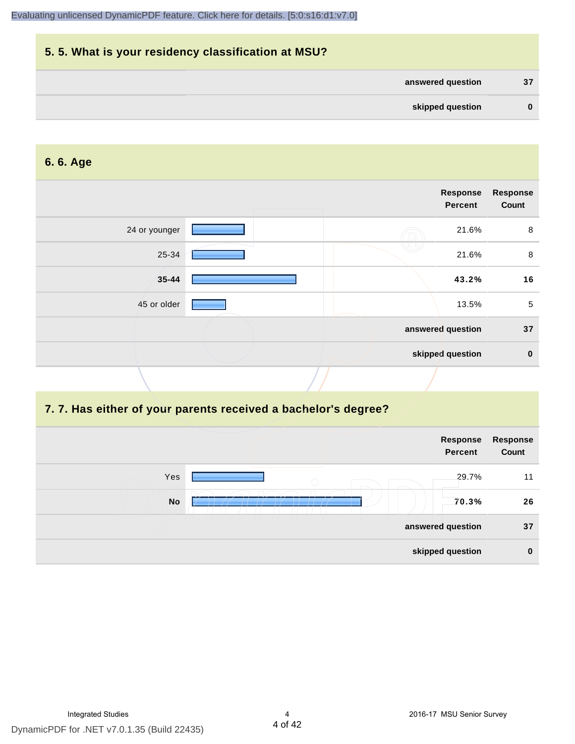| 5.5. What is your residency classification at MSU? |          |
|----------------------------------------------------|----------|
| answered question                                  | 37       |
| skipped question                                   | $\bf{0}$ |

#### **6. 6. Age**

|  | Response<br>Percent | <b>Response</b><br>Count              |
|--|---------------------|---------------------------------------|
|  | 21.6%               | 8                                     |
|  | 21.6%               | 8                                     |
|  | 43.2%               | 16                                    |
|  | 13.5%               | 5                                     |
|  |                     | 37                                    |
|  |                     | $\mathbf 0$                           |
|  |                     | answered question<br>skipped question |

#### **7. 7. Has either of your parents received a bachelor's degree?**

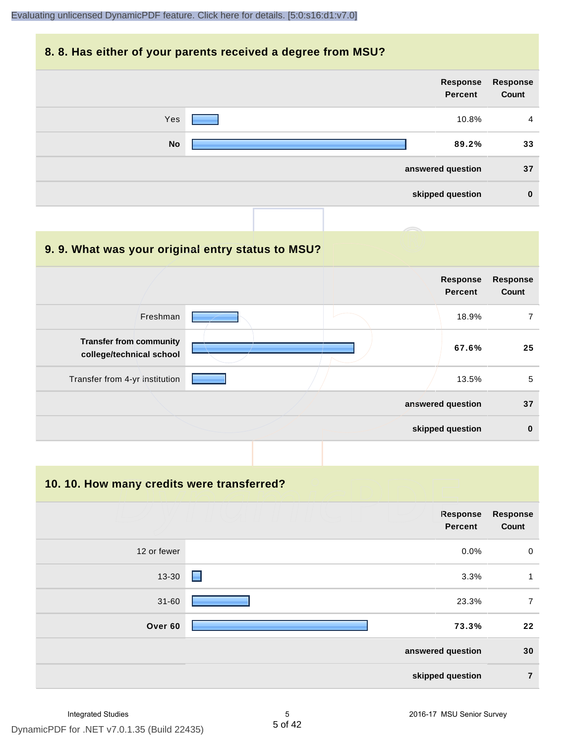#### **8. 8. Has either of your parents received a degree from MSU?**

| <b>Response</b><br>Count | Response<br>Percent |           |
|--------------------------|---------------------|-----------|
| $\overline{4}$           | 10.8%               | Yes       |
| 33                       | 89.2%               | <b>No</b> |
| 37                       | answered question   |           |
| $\bf{0}$                 | skipped question    |           |
|                          |                     |           |

| 9.9. What was your original entry status to MSU?           |  |                            |                          |
|------------------------------------------------------------|--|----------------------------|--------------------------|
|                                                            |  | Response<br><b>Percent</b> | <b>Response</b><br>Count |
| Freshman                                                   |  | 18.9%                      | 7                        |
| <b>Transfer from community</b><br>college/technical school |  | 67.6%                      | 25                       |
| Transfer from 4-yr institution                             |  | 13.5%                      | 5                        |
|                                                            |  | answered question          | 37                       |
|                                                            |  | skipped question           | $\bf{0}$                 |

**10. 10. How many credits were transferred?**

|             | Response<br><b>Percent</b> | <b>Response</b><br>Count |
|-------------|----------------------------|--------------------------|
| 12 or fewer | $0.0\%$                    | $\mathbf 0$              |
| 13-30       | 3.3%<br>н                  | 1                        |
| $31 - 60$   | 23.3%                      | $\overline{7}$           |
| Over 60     | 73.3%                      | 22                       |
|             | answered question          | 30                       |
|             | skipped question           | $\overline{7}$           |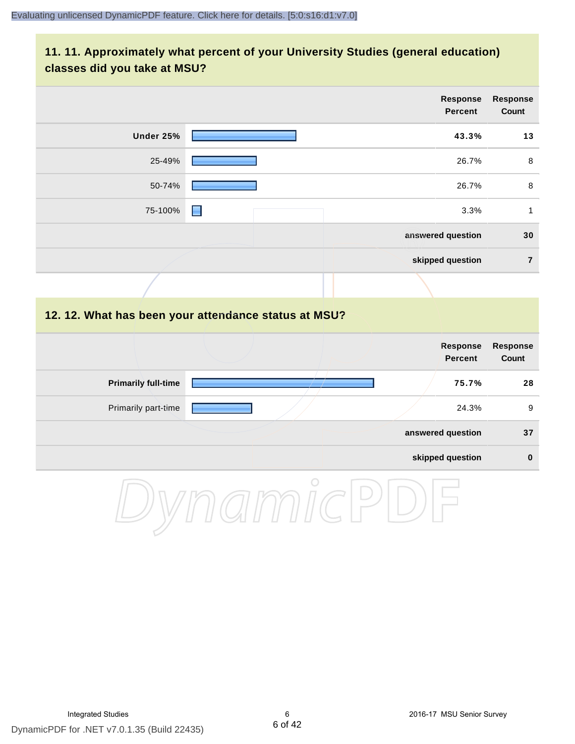# **11. 11. Approximately what percent of your University Studies (general education) classes did you take at MSU?**

|                            |                                                      | <b>Response</b><br><b>Percent</b> | <b>Response</b><br>Count |
|----------------------------|------------------------------------------------------|-----------------------------------|--------------------------|
| Under 25%                  |                                                      | 43.3%                             | 13                       |
| 25-49%                     |                                                      | 26.7%                             | 8                        |
| 50-74%                     |                                                      | 26.7%                             | $\,8\,$                  |
| 75-100%                    | н                                                    | 3.3%                              | $\mathbf{1}$             |
|                            |                                                      | answered question                 | 30                       |
|                            |                                                      | skipped question                  | $\overline{7}$           |
|                            |                                                      |                                   |                          |
|                            | 12. 12. What has been your attendance status at MSU? |                                   |                          |
|                            |                                                      | <b>Response</b><br><b>Percent</b> | <b>Response</b><br>Count |
| <b>Primarily full-time</b> |                                                      | 75.7%                             | 28                       |
| Primarily part-time        |                                                      | 24.3%                             | 9                        |
|                            |                                                      | answered question                 | 37                       |
|                            |                                                      | skipped question                  | $\pmb{0}$                |
|                            | $\cap$                                               |                                   |                          |

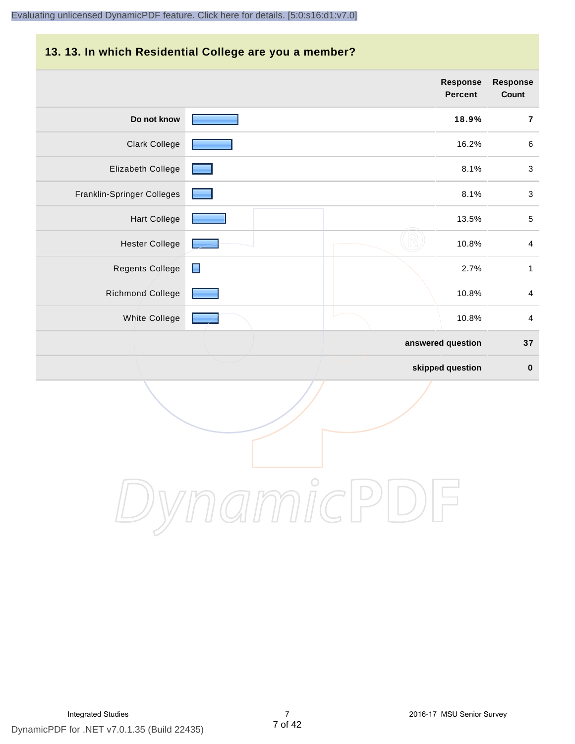#### **13. 13. In which Residential College are you a member?**

|                            |                | <b>Response</b><br><b>Percent</b> | <b>Response</b><br>Count |
|----------------------------|----------------|-----------------------------------|--------------------------|
| Do not know                |                | 18.9%                             | $\bf 7$                  |
| <b>Clark College</b>       |                | 16.2%                             | $\,6\,$                  |
| Elizabeth College          |                | 8.1%                              | $\mathbf{3}$             |
| Franklin-Springer Colleges |                | 8.1%                              | $\sqrt{3}$               |
| <b>Hart College</b>        |                | 13.5%                             | $\sqrt{5}$               |
| <b>Hester College</b>      |                | 10.8%                             | $\overline{4}$           |
| Regents College            | $\blacksquare$ | 2.7%                              | $\mathbf{1}$             |
| Richmond College           |                | 10.8%                             | $\overline{4}$           |
| White College              |                | 10.8%                             | $\overline{4}$           |
|                            |                | answered question                 | 37                       |
|                            |                | skipped question                  | $\pmb{0}$                |

DynamicPDF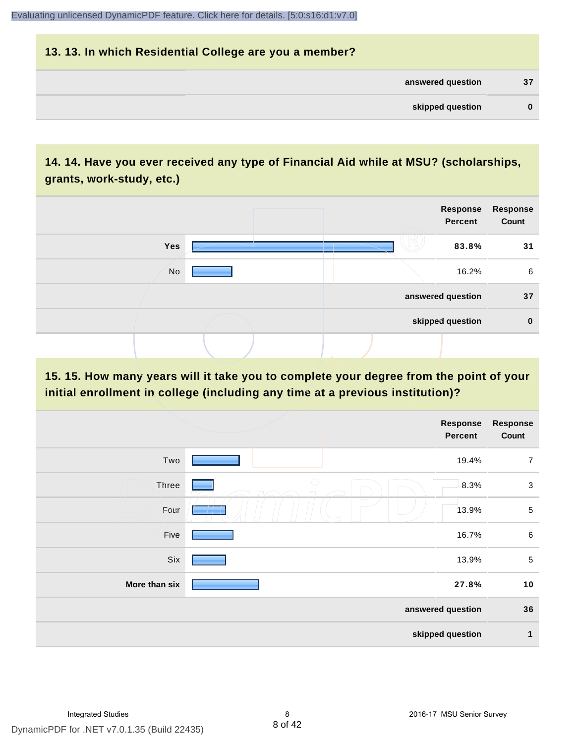# **13. 13. In which Residential College are you a member? answered question 37 skipped question 0**

# **14. 14. Have you ever received any type of Financial Aid while at MSU? (scholarships, grants, work-study, etc.)**



**15. 15. How many years will it take you to complete your degree from the point of your initial enrollment in college (including any time at a previous institution)?**

|               | <b>Response</b><br><b>Percent</b> | <b>Response</b><br>Count |
|---------------|-----------------------------------|--------------------------|
| Two           | 19.4%                             | $\overline{7}$           |
| Three         | $\bigcirc$<br>8.3%                | $\mathbf{3}$             |
| Four          | 13.9%                             | $\sqrt{5}$               |
| Five          | 16.7%                             | $\,6\,$                  |
| Six           | 13.9%                             | $\sqrt{5}$               |
| More than six | 27.8%                             | 10                       |
|               | answered question                 | 36                       |
|               | skipped question                  | 1                        |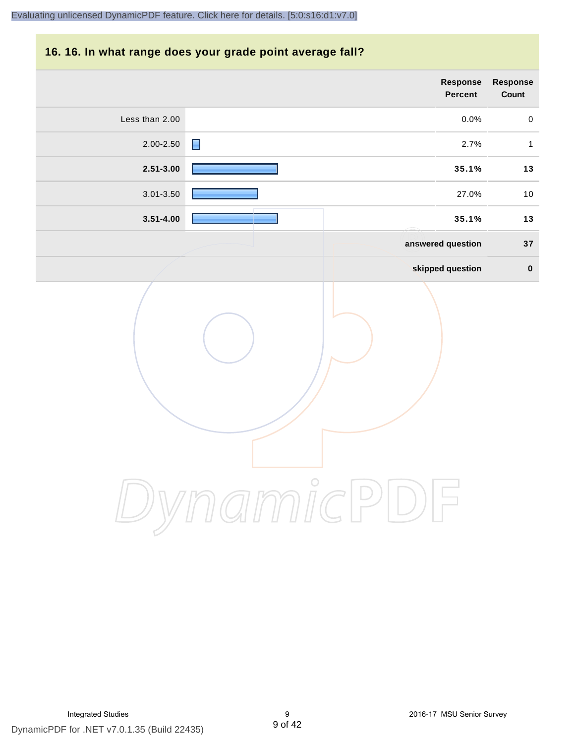# **16. 16. In what range does your grade point average fall?**

| Response<br>Count | Response<br>Percent    |                |
|-------------------|------------------------|----------------|
| $\mathbf 0$       | 0.0%                   | Less than 2.00 |
| $\mathbf 1$       | $\blacksquare$<br>2.7% | $2.00 - 2.50$  |
| $13$              | 35.1%                  | $2.51 - 3.00$  |
| $10$              | 27.0%                  | 3.01-3.50      |
| $13$              | 35.1%                  | $3.51 - 4.00$  |
| $37\,$            | answered question      |                |
| $\pmb{0}$         | skipped question       |                |
|                   | $\frac{0}{\sqrt{2}}$   |                |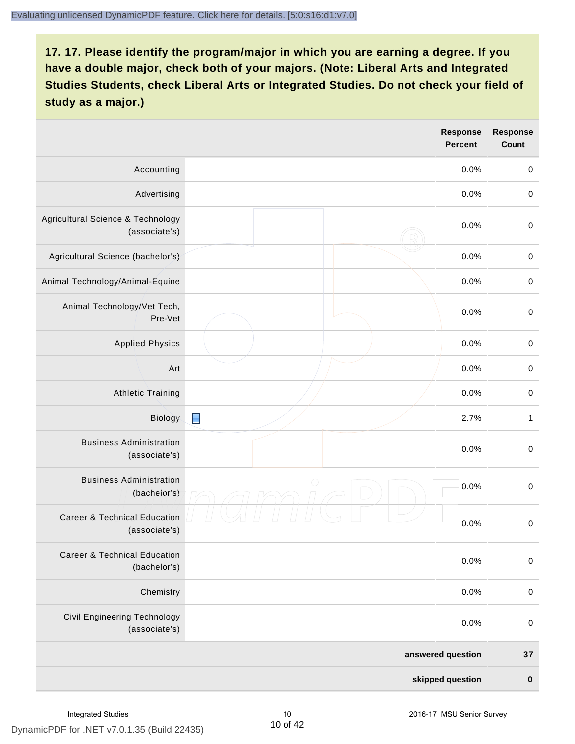|                                                          | <b>Response</b><br><b>Percent</b> | <b>Response</b><br>Count |
|----------------------------------------------------------|-----------------------------------|--------------------------|
| Accounting                                               | 0.0%                              | $\mathbf 0$              |
| Advertising                                              | 0.0%                              | $\mathbf 0$              |
| Agricultural Science & Technology<br>(associate's)       | 0.0%                              | $\mathbf 0$              |
| Agricultural Science (bachelor's)                        | 0.0%                              | $\mathbf 0$              |
| Animal Technology/Animal-Equine                          | 0.0%                              | $\mathbf 0$              |
| Animal Technology/Vet Tech,<br>Pre-Vet                   | 0.0%                              | $\mathbf 0$              |
| <b>Applied Physics</b>                                   | 0.0%                              | $\pmb{0}$                |
| Art                                                      | 0.0%                              | $\mathbf 0$              |
| <b>Athletic Training</b>                                 | 0.0%                              | $\mathbf 0$              |
| Biology                                                  | $\blacksquare$<br>2.7%            | $\mathbf{1}$             |
| <b>Business Administration</b><br>(associate's)          | 0.0%                              | $\mbox{O}$               |
| <b>Business Administration</b><br>(bachelor's)           | $\bigcirc$<br>0.0%                | $\mbox{O}$               |
| <b>Career &amp; Technical Education</b><br>(associate's) | 0.0%                              | $\mathbf 0$              |
| <b>Career &amp; Technical Education</b><br>(bachelor's)  | 0.0%                              | $\mathbf 0$              |
| Chemistry                                                | 0.0%                              | $\mathbf 0$              |
| Civil Engineering Technology<br>(associate's)            | 0.0%                              | $\pmb{0}$                |
|                                                          | answered question                 | 37                       |
|                                                          | skipped question                  | $\pmb{0}$                |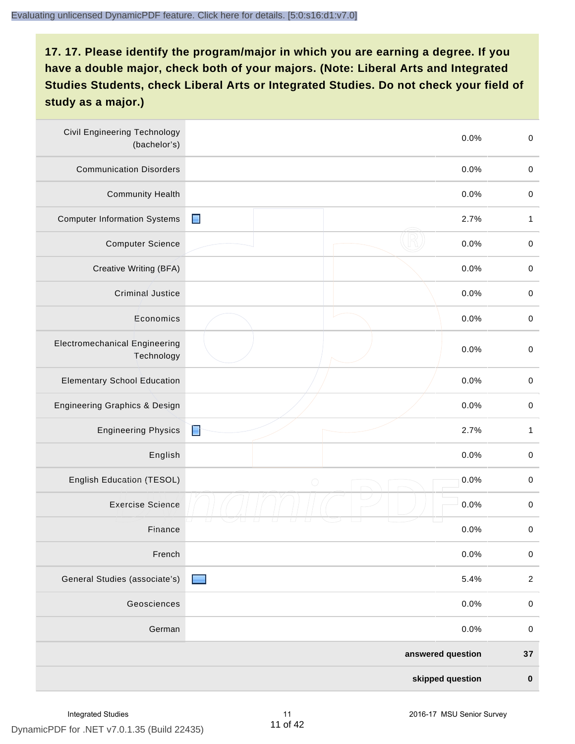| <b>Civil Engineering Technology</b><br>(bachelor's) |                   | 0.0%             | $\mathbf 0$  |
|-----------------------------------------------------|-------------------|------------------|--------------|
| <b>Communication Disorders</b>                      |                   | 0.0%             | $\mathbf 0$  |
| <b>Community Health</b>                             |                   | 0.0%             | $\mathbf 0$  |
| <b>Computer Information Systems</b>                 | $\blacksquare$    | 2.7%             | $\mathbf{1}$ |
| <b>Computer Science</b>                             |                   | 0.0%             | $\mathbf 0$  |
| Creative Writing (BFA)                              |                   | 0.0%             | $\mathbf 0$  |
| Criminal Justice                                    |                   | 0.0%             | $\mathbf 0$  |
| Economics                                           |                   | 0.0%             | $\pmb{0}$    |
| <b>Electromechanical Engineering</b><br>Technology  |                   | 0.0%             | $\mathbf 0$  |
| <b>Elementary School Education</b>                  |                   | 0.0%             | $\mathbf 0$  |
| Engineering Graphics & Design                       |                   | 0.0%             | $\pmb{0}$    |
| <b>Engineering Physics</b>                          | È                 | 2.7%             | $\mathbf{1}$ |
| English                                             |                   | 0.0%             | $\pmb{0}$    |
| English Education (TESOL)                           | $\bigcirc$        | 0.0%             | $\pmb{0}$    |
| <b>Exercise Science</b>                             |                   | 0.0%             | $\pmb{0}$    |
| Finance                                             |                   | 0.0%             | $\,0\,$      |
| French                                              |                   | 0.0%             | $\mathbf 0$  |
| General Studies (associate's)                       |                   | 5.4%             | $\sqrt{2}$   |
| Geosciences                                         |                   | 0.0%             | $\mathbf 0$  |
| German                                              |                   | 0.0%             | $\mathbf 0$  |
|                                                     | answered question |                  | 37           |
|                                                     |                   | skipped question | $\pmb{0}$    |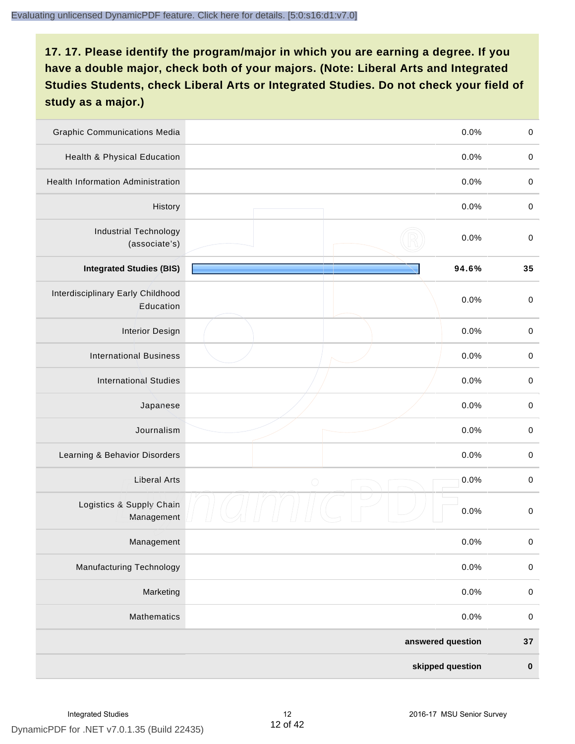| <b>Graphic Communications Media</b>            |                   | 0.0%  | $\mathbf 0$ |
|------------------------------------------------|-------------------|-------|-------------|
| Health & Physical Education                    |                   | 0.0%  | $\mathbf 0$ |
| <b>Health Information Administration</b>       |                   | 0.0%  | $\pmb{0}$   |
| History                                        |                   | 0.0%  | $\pmb{0}$   |
| <b>Industrial Technology</b><br>(associate's)  |                   | 0.0%  | $\mathbf 0$ |
| <b>Integrated Studies (BIS)</b>                |                   | 94.6% | 35          |
| Interdisciplinary Early Childhood<br>Education |                   | 0.0%  | $\mathbf 0$ |
| <b>Interior Design</b>                         |                   | 0.0%  | $\pmb{0}$   |
| <b>International Business</b>                  |                   | 0.0%  | $\mathbf 0$ |
| <b>International Studies</b>                   |                   | 0.0%  | $\,0\,$     |
| Japanese                                       |                   | 0.0%  | $\pmb{0}$   |
| Journalism                                     |                   | 0.0%  | $\pmb{0}$   |
| Learning & Behavior Disorders                  |                   | 0.0%  | $\pmb{0}$   |
| <b>Liberal Arts</b>                            | $\bigcirc$        | 0.0%  | $\pmb{0}$   |
| Logistics & Supply Chain<br>Management         |                   | 0.0%  | $\pmb{0}$   |
| Management                                     |                   | 0.0%  | $\pmb{0}$   |
| <b>Manufacturing Technology</b>                |                   | 0.0%  | $\mathbf 0$ |
| Marketing                                      |                   | 0.0%  | $\mathbf 0$ |
| Mathematics                                    |                   | 0.0%  | $\,0\,$     |
|                                                | answered question |       | 37          |
|                                                | skipped question  |       | $\pmb{0}$   |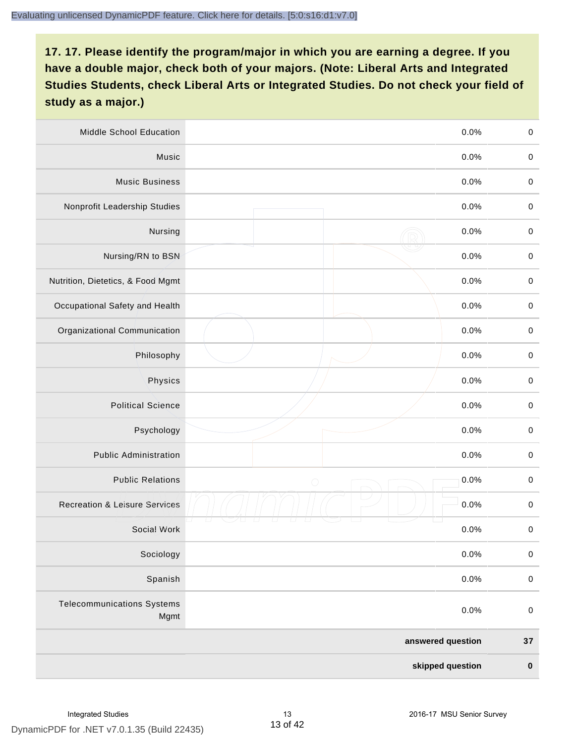| Middle School Education                   |                   | 0.0% | $\,0\,$     |
|-------------------------------------------|-------------------|------|-------------|
| Music                                     |                   | 0.0% | $\mathbf 0$ |
| <b>Music Business</b>                     |                   | 0.0% | $\mathbf 0$ |
| Nonprofit Leadership Studies              |                   | 0.0% | $\pmb{0}$   |
| Nursing                                   |                   | 0.0% | $\pmb{0}$   |
| Nursing/RN to BSN                         |                   | 0.0% | $\,0\,$     |
| Nutrition, Dietetics, & Food Mgmt         |                   | 0.0% | $\pmb{0}$   |
| Occupational Safety and Health            |                   | 0.0% | $\mathbf 0$ |
| Organizational Communication              |                   | 0.0% | $\pmb{0}$   |
| Philosophy                                |                   | 0.0% | $\pmb{0}$   |
| Physics                                   |                   | 0.0% | $\,0\,$     |
| <b>Political Science</b>                  |                   | 0.0% | $\mathbf 0$ |
| Psychology                                |                   | 0.0% | $\pmb{0}$   |
| <b>Public Administration</b>              |                   | 0.0% | $\pmb{0}$   |
| <b>Public Relations</b>                   | $\bigcirc$        | 0.0% | $\pmb{0}$   |
| <b>Recreation &amp; Leisure Services</b>  |                   | 0.0% | $\,0\,$     |
| Social Work                               |                   | 0.0% | $\,0\,$     |
| Sociology                                 |                   | 0.0% | $\mathbf 0$ |
| Spanish                                   |                   | 0.0% | $\pmb{0}$   |
| <b>Telecommunications Systems</b><br>Mgmt |                   | 0.0% | $\mathbf 0$ |
|                                           | answered question |      | $37\,$      |
|                                           | skipped question  |      | $\pmb{0}$   |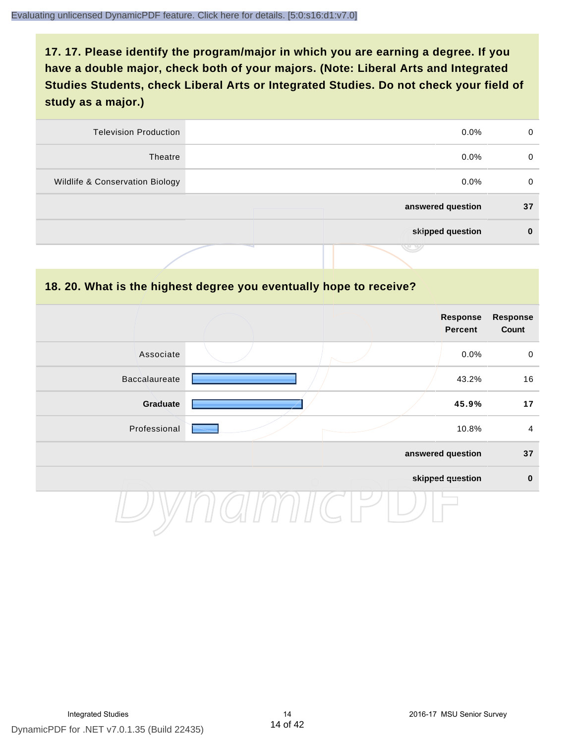| 0        | $0.0\%$           | <b>Television Production</b>    |
|----------|-------------------|---------------------------------|
| 0        | $0.0\%$           | Theatre                         |
| 0        | $0.0\%$           | Wildlife & Conservation Biology |
| 37       | answered question |                                 |
| $\bf{0}$ | skipped question  |                                 |
|          |                   |                                 |

#### **18. 20. What is the highest degree you eventually hope to receive?**

|               |  | Response<br>Percent | <b>Response</b><br>Count |
|---------------|--|---------------------|--------------------------|
| Associate     |  | 0.0%                | $\mathbf 0$              |
| Baccalaureate |  | 43.2%               | 16                       |
| Graduate      |  | 45.9%               | 17                       |
| Professional  |  | 10.8%               | $\overline{4}$           |
|               |  | answered question   | 37                       |
|               |  | skipped question    | $\mathbf 0$              |
|               |  |                     |                          |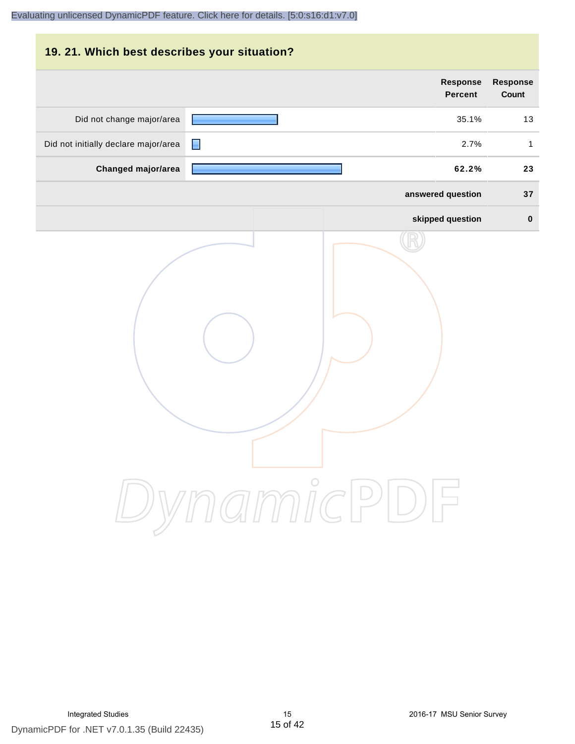| 19. 21. Which best describes your situation? |                                   |                                 |
|----------------------------------------------|-----------------------------------|---------------------------------|
|                                              | <b>Response</b><br><b>Percent</b> | <b>Response</b><br><b>Count</b> |
| Did not change major/area                    | 35.1%                             | 13                              |
| Did not initially declare major/area         | 2.7%<br>н                         | $\mathbf{1}$                    |
| Changed major/area                           | 62.2%                             | 23                              |
|                                              | answered question                 | 37                              |
|                                              | skipped question                  | $\bf{0}$                        |
|                                              | DynamicPDF                        |                                 |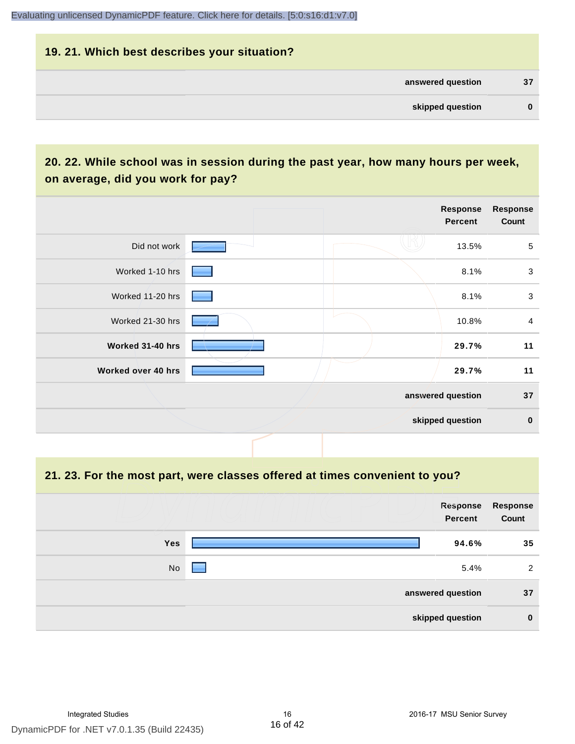| 19. 21. Which best describes your situation? |    |
|----------------------------------------------|----|
| answered question                            | 37 |
| skipped question                             | 0  |

# **20. 22. While school was in session during the past year, how many hours per week, on average, did you work for pay?**

|                    |  | Response<br>Percent | <b>Response</b><br>Count |
|--------------------|--|---------------------|--------------------------|
| Did not work       |  | 13.5%               | 5                        |
| Worked 1-10 hrs    |  | 8.1%                | 3                        |
| Worked 11-20 hrs   |  | 8.1%                | $\mathbf{3}$             |
| Worked 21-30 hrs   |  | 10.8%               | $\overline{4}$           |
| Worked 31-40 hrs   |  | 29.7%               | 11                       |
| Worked over 40 hrs |  | 29.7%               | 11                       |
|                    |  | answered question   | 37                       |
|                    |  | skipped question    | $\bf{0}$                 |

**21. 23. For the most part, were classes offered at times convenient to you?**

|            | Response<br>Percent | Response<br>Count |
|------------|---------------------|-------------------|
| <b>Yes</b> | 94.6%               | 35                |
| No         | 5.4%                | 2                 |
|            | answered question   | 37                |
|            | skipped question    | $\mathbf 0$       |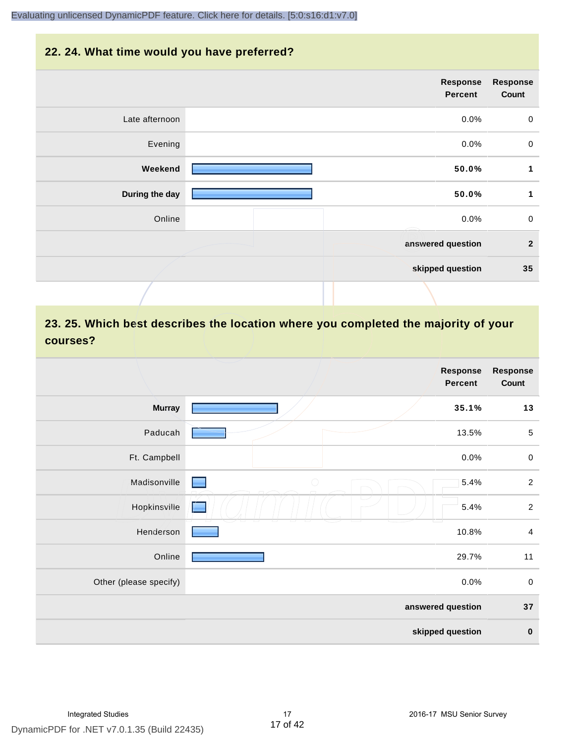#### **22. 24. What time would you have preferred?**

|                | Response<br>Percent | <b>Response</b><br>Count |
|----------------|---------------------|--------------------------|
| Late afternoon | 0.0%                | $\mathbf 0$              |
| Evening        | 0.0%                | $\boldsymbol{0}$         |
| Weekend        | 50.0%               | 1                        |
| During the day | 50.0%               | $\mathbf{1}$             |
| Online         | 0.0%                | $\mathbf 0$              |
|                | answered question   | $\overline{2}$           |
|                | skipped question    | 35                       |
|                |                     |                          |

# **23. 25. Which best describes the location where you completed the majority of your courses?**

|                        |            | <b>Response</b><br><b>Percent</b> | <b>Response</b><br>Count |
|------------------------|------------|-----------------------------------|--------------------------|
| <b>Murray</b>          |            | 35.1%                             | 13                       |
| Paducah                |            | 13.5%                             | $\sqrt{5}$               |
| Ft. Campbell           |            | 0.0%                              | $\pmb{0}$                |
| Madisonville           | $\bigcirc$ | 5.4%                              | $\overline{c}$           |
| Hopkinsville           | $\sqrt{2}$ | 5.4%                              | $\overline{2}$           |
| Henderson              |            | 10.8%                             | $\overline{\mathbf{4}}$  |
| Online                 |            | 29.7%                             | 11                       |
| Other (please specify) |            | 0.0%                              | $\pmb{0}$                |
|                        |            | answered question                 | 37                       |
|                        |            | skipped question                  | $\pmb{0}$                |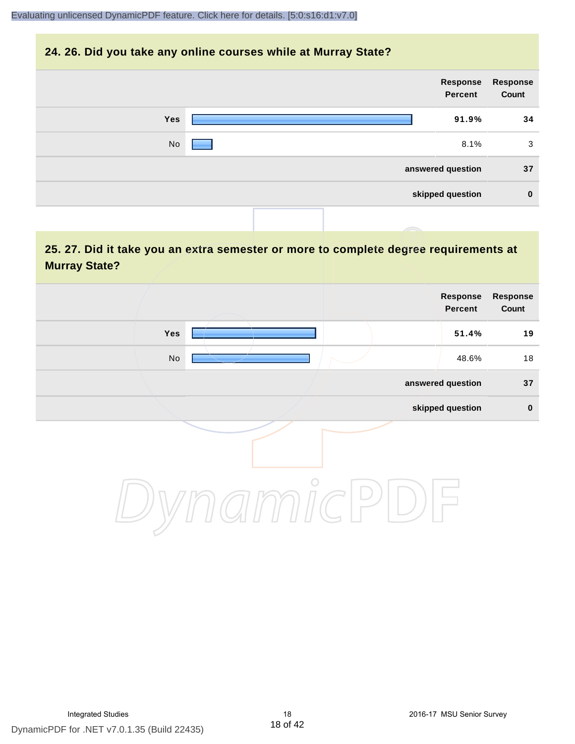#### **24. 26. Did you take any online courses while at Murray State?**

| Response<br>Count | Response<br>Percent |            |
|-------------------|---------------------|------------|
| 34                | 91.9%               | <b>Yes</b> |
| 3                 | 8.1%                | No         |
| 37                | answered question   |            |
| $\bf{0}$          | skipped question    |            |
|                   |                     |            |

# **25. 27. Did it take you an extra semester or more to complete degree requirements at Murray State?**

|                              | <b>Response</b><br>Percent | Response<br>Count |
|------------------------------|----------------------------|-------------------|
| Yes                          | 51.4%                      | 19                |
| $\operatorname{\mathsf{No}}$ | 48.6%                      | 18                |
|                              | answered question          | 37                |
|                              | skipped question           | $\pmb{0}$         |
| $\bigcirc$                   |                            |                   |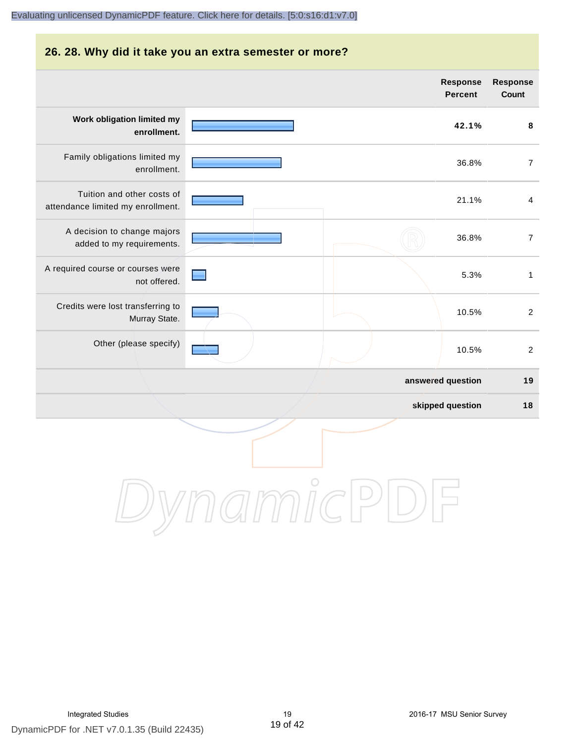#### **26. 28. Why did it take you an extra semester or more?**

|                                                                 |            | <b>Response</b><br><b>Percent</b> | <b>Response</b><br>Count |
|-----------------------------------------------------------------|------------|-----------------------------------|--------------------------|
| Work obligation limited my<br>enrollment.                       |            | 42.1%                             | 8                        |
| Family obligations limited my<br>enrollment.                    |            | 36.8%                             | $\overline{7}$           |
| Tuition and other costs of<br>attendance limited my enrollment. |            | 21.1%                             | $\overline{4}$           |
| A decision to change majors<br>added to my requirements.        |            | 36.8%                             | $\overline{7}$           |
| A required course or courses were<br>not offered.               |            | 5.3%                              | $\mathbf{1}$             |
| Credits were lost transferring to<br>Murray State.              |            | 10.5%                             | $\overline{2}$           |
| Other (please specify)                                          |            | 10.5%                             | $\overline{2}$           |
|                                                                 |            | answered question                 | 19                       |
|                                                                 |            | skipped question                  | $18$                     |
|                                                                 | $\bigcirc$ |                                   |                          |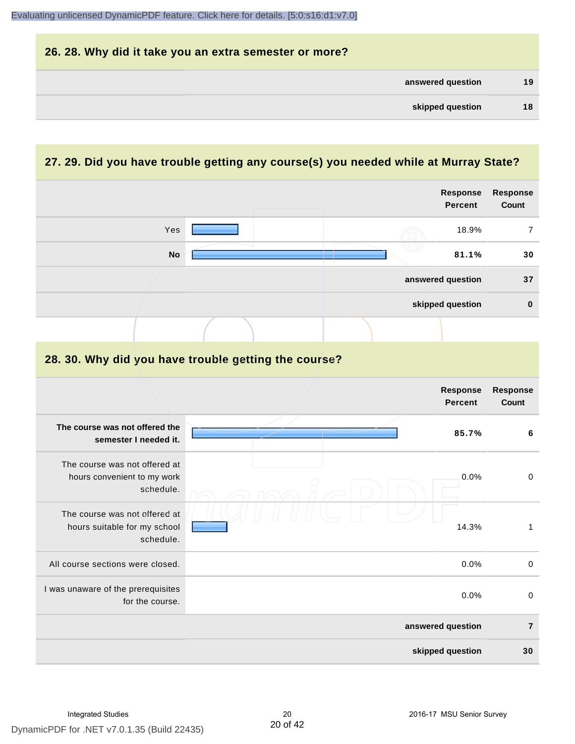| 26. 28. Why did it take you an extra semester or more? |    |
|--------------------------------------------------------|----|
| answered question                                      | 19 |
| skipped question                                       | 18 |

# **27. 29. Did you have trouble getting any course(s) you needed while at Murray State?**

|                                                                            |                                                      | <b>Response</b><br><b>Percent</b> | Response<br>Count        |
|----------------------------------------------------------------------------|------------------------------------------------------|-----------------------------------|--------------------------|
| Yes                                                                        |                                                      | 18.9%                             | $\overline{7}$           |
| <b>No</b>                                                                  |                                                      | 81.1%                             | 30                       |
|                                                                            |                                                      | answered question                 | 37                       |
|                                                                            |                                                      | skipped question                  | $\mathbf 0$              |
|                                                                            |                                                      |                                   |                          |
|                                                                            | 28. 30. Why did you have trouble getting the course? |                                   |                          |
|                                                                            |                                                      | <b>Response</b><br><b>Percent</b> | <b>Response</b><br>Count |
| The course was not offered the<br>semester I needed it.                    |                                                      | 85.7%                             | 6                        |
| The course was not offered at<br>hours convenient to my work<br>schedule.  |                                                      | 0.0%                              | $\mathbf 0$              |
| The course was not offered at<br>hours suitable for my school<br>schedule. |                                                      | 14.3%                             | $\mathbf{1}$             |
| All course sections were closed.                                           |                                                      | 0.0%                              | $\pmb{0}$                |
| I was unaware of the prerequisites<br>for the course.                      |                                                      | 0.0%                              | $\boldsymbol{0}$         |
|                                                                            |                                                      | answered question                 | $\overline{7}$           |
|                                                                            |                                                      | skipped question                  | 30                       |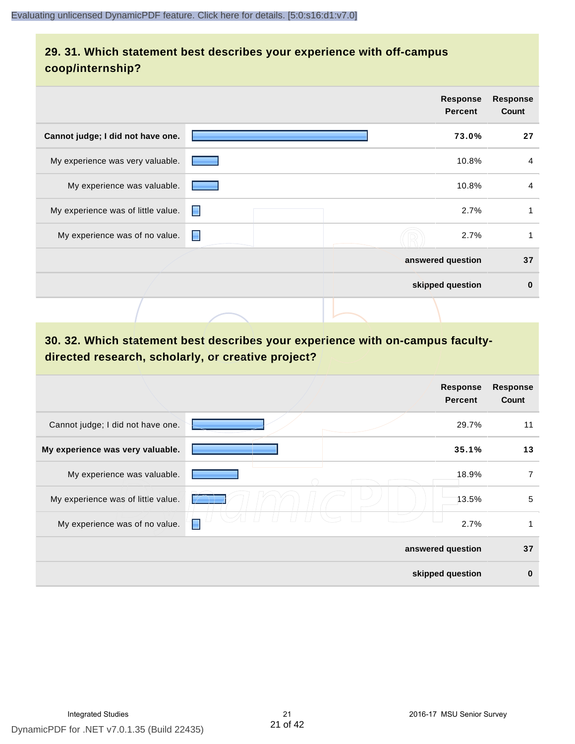# **29. 31. Which statement best describes your experience with off-campus coop/internship?**

|                                    |   |  | Response<br><b>Percent</b> | <b>Response</b><br>Count |
|------------------------------------|---|--|----------------------------|--------------------------|
| Cannot judge; I did not have one.  |   |  | 73.0%                      | 27                       |
| My experience was very valuable.   |   |  | 10.8%                      | 4                        |
| My experience was valuable.        |   |  | 10.8%                      | $\overline{4}$           |
| My experience was of little value. | н |  | 2.7%                       | 1                        |
| My experience was of no value.     | Е |  | 2.7%                       |                          |
|                                    |   |  | answered question          | 37                       |
|                                    |   |  | skipped question           | $\bf{0}$                 |
|                                    |   |  |                            |                          |

# **30. 32. Which statement best describes your experience with on-campus facultydirected research, scholarly, or creative project?**

|                                    | <b>Response</b><br><b>Percent</b> | <b>Response</b><br>Count |
|------------------------------------|-----------------------------------|--------------------------|
| Cannot judge; I did not have one.  | 29.7%                             | 11                       |
| My experience was very valuable.   | 35.1%                             | 13                       |
| My experience was valuable.        | 18.9%                             | 7                        |
| My experience was of little value. | 13.5%                             | 5                        |
| My experience was of no value.     | 2.7%<br>Е                         | 1                        |
|                                    | answered question                 | 37                       |
|                                    | skipped question                  | $\bf{0}$                 |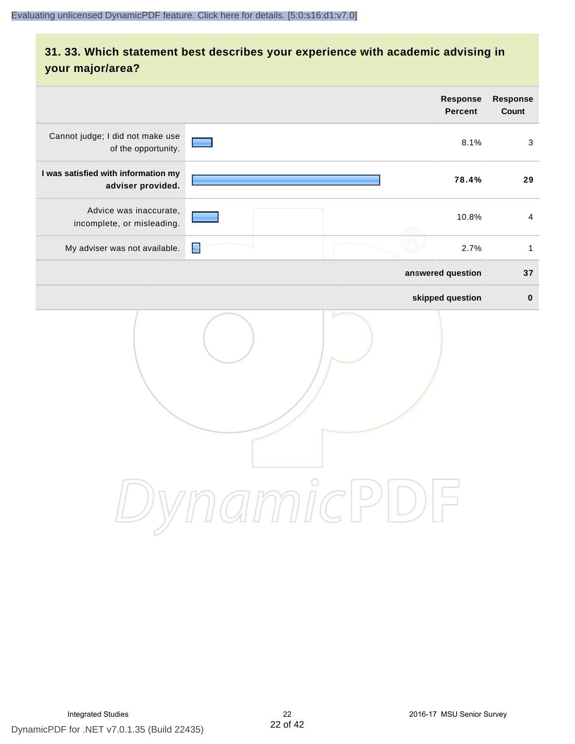# **31. 33. Which statement best describes your experience with academic advising in your major/area?**

|                                                          | <b>Response</b><br><b>Percent</b>                                        | Response<br>Count |
|----------------------------------------------------------|--------------------------------------------------------------------------|-------------------|
| Cannot judge; I did not make use<br>of the opportunity.  | 8.1%                                                                     | 3                 |
| I was satisfied with information my<br>adviser provided. | 78.4%                                                                    | 29                |
| Advice was inaccurate,<br>incomplete, or misleading.     | 10.8%                                                                    | $\overline{4}$    |
| My adviser was not available.                            | 2.7%<br>L                                                                | $\mathbf{1}$      |
|                                                          | answered question                                                        | 37                |
|                                                          | skipped question                                                         | $\pmb{0}$         |
|                                                          | amnicl<br>$\left( \begin{array}{c} \end{array} \right)$<br>$\frac{1}{2}$ |                   |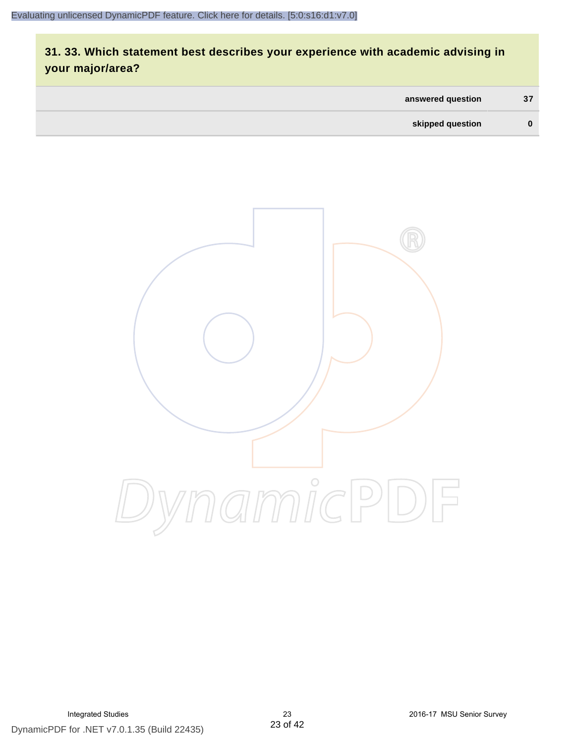# **31. 33. Which statement best describes your experience with academic advising in your major/area?**

| answered question | 37 |
|-------------------|----|
| skipped question  | 0  |

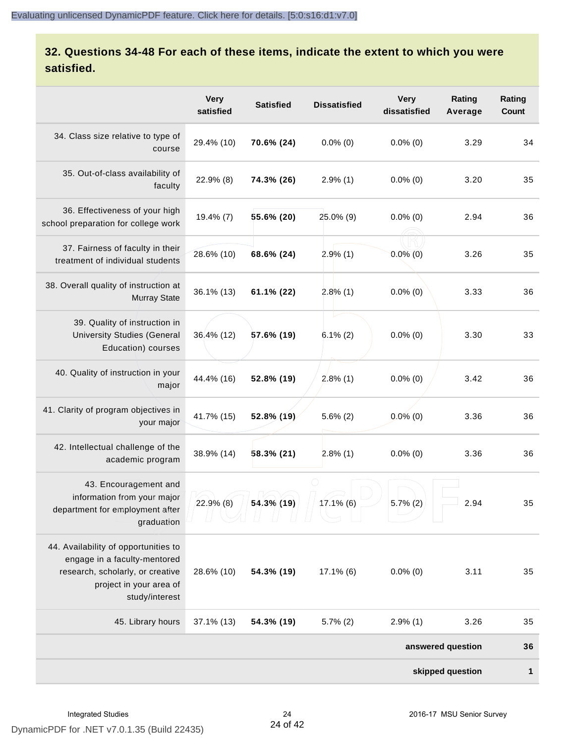# **32. Questions 34-48 For each of these items, indicate the extent to which you were satisfied.**

|                                                                                                                                                       | <b>Very</b><br>satisfied | <b>Satisfied</b> | <b>Dissatisfied</b> | <b>Very</b><br>dissatisfied | Rating<br>Average | Rating<br>Count |
|-------------------------------------------------------------------------------------------------------------------------------------------------------|--------------------------|------------------|---------------------|-----------------------------|-------------------|-----------------|
| 34. Class size relative to type of<br>course                                                                                                          | 29.4% (10)               | 70.6% (24)       | $0.0\%$ (0)         | $0.0\%$ (0)                 | 3.29              | 34              |
| 35. Out-of-class availability of<br>faculty                                                                                                           | 22.9% (8)                | 74.3% (26)       | $2.9\%$ (1)         | $0.0\%$ (0)                 | 3.20              | 35              |
| 36. Effectiveness of your high<br>school preparation for college work                                                                                 | 19.4% (7)                | 55.6% (20)       | 25.0% (9)           | $0.0\%$ (0)                 | 2.94              | 36              |
| 37. Fairness of faculty in their<br>treatment of individual students                                                                                  | 28.6% (10)               | 68.6% (24)       | 2.9%(1)             | $0.0\%$ (0)                 | 3.26              | 35              |
| 38. Overall quality of instruction at<br><b>Murray State</b>                                                                                          | 36.1% (13)               | 61.1% (22)       | 2.8%(1)             | $0.0\%$ (0)                 | 3.33              | 36              |
| 39. Quality of instruction in<br><b>University Studies (General</b><br>Education) courses                                                             | 36.4% (12)               | 57.6% (19)       | $6.1\%(2)$          | $0.0\%$ (0)                 | 3.30              | 33              |
| 40. Quality of instruction in your<br>major                                                                                                           | 44.4% (16)               | 52.8% (19)       | $2.8\%$ (1)         | $0.0\%$ (0)                 | 3.42              | 36              |
| 41. Clarity of program objectives in<br>your major                                                                                                    | 41.7% (15)               | 52.8% (19)       | $5.6\%$ (2)         | $0.0\%$ (0)                 | 3.36              | 36              |
| 42. Intellectual challenge of the<br>academic program                                                                                                 | 38.9% (14)               | $58.3\%$ (21)    | $2.8\%$ (1)         | $0.0\%$ (0)                 | 3.36              | 36              |
| 43. Encouragement and<br>information from your major<br>department for employment after<br>graduation                                                 | $22.9\%$ (8)             | 54.3% (19)       | $17.1\%$ (6)        | $5.7\%$ (2)                 | 2.94              | 35              |
| 44. Availability of opportunities to<br>engage in a faculty-mentored<br>research, scholarly, or creative<br>project in your area of<br>study/interest | 28.6% (10)               | 54.3% (19)       | $17.1\%$ (6)        | $0.0\%$ (0)                 | 3.11              | 35              |
| 45. Library hours                                                                                                                                     | 37.1% (13)               | 54.3% (19)       | $5.7\%$ (2)         | $2.9\%$ (1)                 | 3.26              | 35              |
|                                                                                                                                                       |                          |                  |                     |                             | answered question | 36              |
|                                                                                                                                                       |                          |                  |                     |                             | skipped question  | 1               |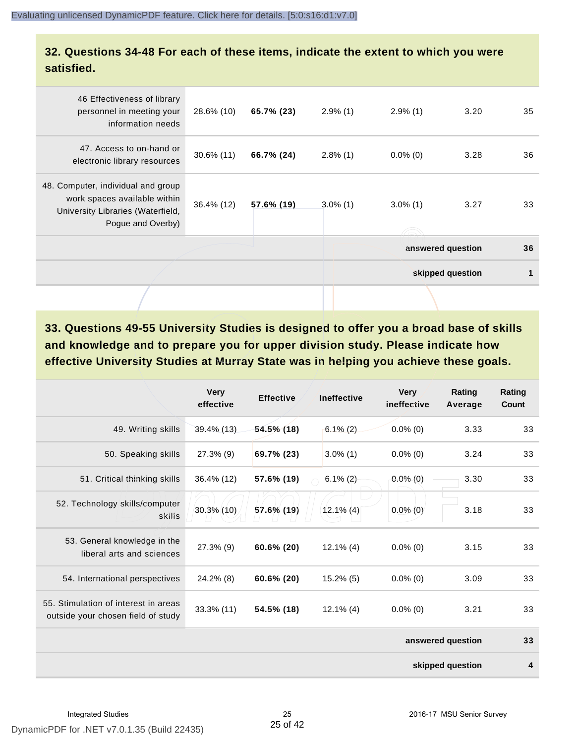# **32. Questions 34-48 For each of these items, indicate the extent to which you were satisfied.**

| 46 Effectiveness of library<br>personnel in meeting your<br>information needs                                                | 28.6% (10)    | 65.7% (23) | $2.9\%$ (1) | $2.9\%$ (1)       | 3.20             | 35 |
|------------------------------------------------------------------------------------------------------------------------------|---------------|------------|-------------|-------------------|------------------|----|
| 47. Access to on-hand or<br>electronic library resources                                                                     | $30.6\%$ (11) | 66.7% (24) | $2.8\%$ (1) | $0.0\%$ (0)       | 3.28             | 36 |
| 48. Computer, individual and group<br>work spaces available within<br>University Libraries (Waterfield,<br>Pogue and Overby) | 36.4% (12)    | 57.6% (19) | $3.0\%$ (1) | $3.0\%$ (1)       | 3.27             | 33 |
|                                                                                                                              |               |            |             | answered question |                  | 36 |
|                                                                                                                              |               |            |             |                   | skipped question | 1  |
|                                                                                                                              |               |            |             |                   |                  |    |

**33. Questions 49-55 University Studies is designed to offer you a broad base of skills and knowledge and to prepare you for upper division study. Please indicate how effective University Studies at Murray State was in helping you achieve these goals.**

|                                                                            | <b>Very</b><br>effective | <b>Effective</b> | <b>Ineffective</b> | <b>Very</b><br>ineffective | Rating<br>Average | Rating<br>Count |
|----------------------------------------------------------------------------|--------------------------|------------------|--------------------|----------------------------|-------------------|-----------------|
| 49. Writing skills                                                         | 39.4% (13)               | $54.5\%$ (18)    | $6.1\%$ (2)        | $0.0\%$ (0)                | 3.33              | 33              |
| 50. Speaking skills                                                        | 27.3% (9)                | 69.7% (23)       | $3.0\%$ (1)        | $0.0\%$ (0)                | 3.24              | 33              |
| 51. Critical thinking skills                                               | 36.4% (12)               | 57.6% (19)       | $6.1\% (2)$        | $0.0\%$ (0)                | 3.30              | 33              |
| 52. Technology skills/computer<br>skills                                   | $30.3\%$ (10)            | 57.6% (19)       | $12.1\%$ (4)       | $0.0\%$ (0)                | 3.18              | 33              |
| 53. General knowledge in the<br>liberal arts and sciences                  | 27.3% (9)                | 60.6% (20)       | $12.1\%$ (4)       | $0.0\%$ (0)                | 3.15              | 33              |
| 54. International perspectives                                             | 24.2% (8)                | 60.6% (20)       | $15.2\%$ (5)       | $0.0\%$ (0)                | 3.09              | 33              |
| 55. Stimulation of interest in areas<br>outside your chosen field of study | 33.3% (11)               | 54.5% (18)       | $12.1\%$ (4)       | $0.0\%$ (0)                | 3.21              | 33              |
|                                                                            |                          |                  |                    |                            | answered question | 33              |
|                                                                            |                          |                  |                    |                            | skipped question  | 4               |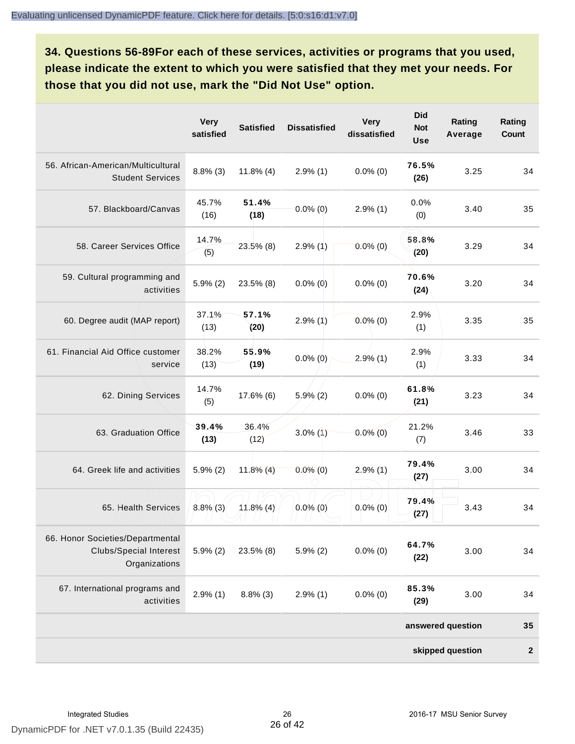**34. Questions 56-89For each of these services, activities or programs that you used, please indicate the extent to which you were satisfied that they met your needs. For those that you did not use, mark the "Did Not Use" option.**

|                                                                                    | <b>Very</b><br>satisfied | <b>Satisfied</b> | <b>Dissatisfied</b> | <b>Very</b><br>dissatisfied | <b>Did</b><br><b>Not</b><br><b>Use</b> | Rating<br>Average | Rating<br>Count  |
|------------------------------------------------------------------------------------|--------------------------|------------------|---------------------|-----------------------------|----------------------------------------|-------------------|------------------|
| 56. African-American/Multicultural<br><b>Student Services</b>                      | $8.8\%$ (3)              | $11.8\%$ (4)     | $2.9\%$ (1)         | $0.0\%$ (0)                 | 76.5%<br>(26)                          | 3.25              | 34               |
| 57. Blackboard/Canvas                                                              | 45.7%<br>(16)            | 51.4%<br>(18)    | $0.0\%$ (0)         | $2.9\%$ (1)                 | 0.0%<br>(0)                            | 3.40              | 35               |
| 58. Career Services Office                                                         | 14.7%<br>(5)             | $23.5\%$ (8)     | $2.9\%$ (1)         | $0.0\%$ (0)                 | 58.8%<br>(20)                          | 3.29              | 34               |
| 59. Cultural programming and<br>activities                                         | $5.9\%$ (2)              | $23.5\%$ (8)     | $0.0\%$ (0)         | $0.0\%$ (0)                 | 70.6%<br>(24)                          | 3.20              | 34               |
| 60. Degree audit (MAP report)                                                      | 37.1%<br>(13)            | 57.1%<br>(20)    | $2.9\%$ (1)         | $0.0\%$ (0)                 | 2.9%<br>(1)                            | 3.35              | 35               |
| 61. Financial Aid Office customer<br>service                                       | 38.2%<br>(13)            | 55.9%<br>(19)    | $0.0\%$ (0)         | $2.9\%$ (1)                 | 2.9%<br>(1)                            | 3.33              | 34               |
| 62. Dining Services                                                                | 14.7%<br>(5)             | 17.6% (6)        | $5.9\%$ (2)         | $0.0\%$ (0)                 | 61.8%<br>(21)                          | 3.23              | 34               |
| 63. Graduation Office                                                              | 39.4%<br>(13)            | 36.4%<br>(12)    | $3.0\%$ (1)         | $0.0\%$ (0)                 | 21.2%<br>(7)                           | 3.46              | 33               |
| 64. Greek life and activities                                                      | $5.9\%$ (2)              | $11.8\%$ (4)     | $0.0\%$ (0)         | $2.9\%$ (1)                 | 79.4%<br>(27)                          | 3.00              | 34               |
| 65. Health Services                                                                | $8.8\%$ (3)              | $11.8\%$ (4)     | $0.0\%$ (0)         | $0.0\%$ (0)                 | 79.4%<br>(27)                          | 3.43              | 34               |
| 66. Honor Societies/Departmental<br><b>Clubs/Special Interest</b><br>Organizations | $5.9\%$ (2)              | 23.5% (8)        | $5.9\%$ (2)         | $0.0\%$ (0)                 | 64.7%<br>(22)                          | 3.00              | 34               |
| 67. International programs and<br>activities                                       | $2.9\%$ (1)              | $8.8\%$ (3)      | $2.9\%$ (1)         | $0.0\%$ (0)                 | 85.3%<br>(29)                          | 3.00              | 34               |
|                                                                                    |                          |                  |                     |                             |                                        | answered question | 35               |
|                                                                                    |                          |                  |                     |                             |                                        | skipped question  | $\boldsymbol{2}$ |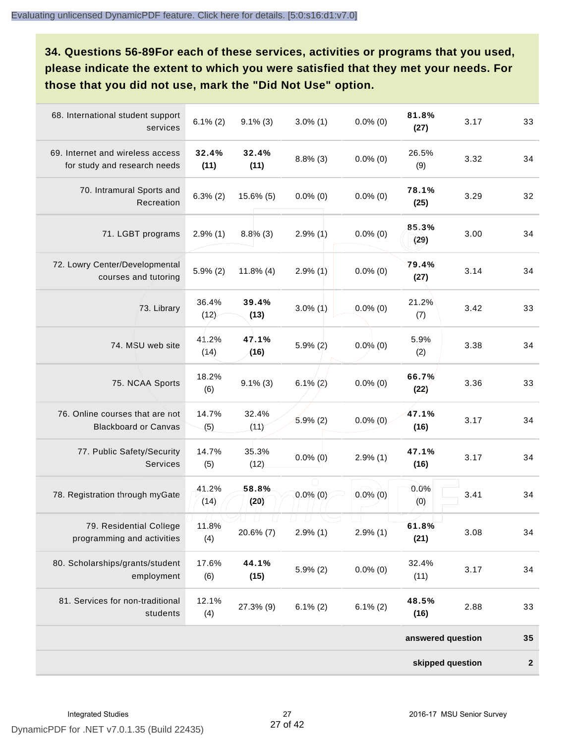**34. Questions 56-89For each of these services, activities or programs that you used, please indicate the extent to which you were satisfied that they met your needs. For those that you did not use, mark the "Did Not Use" option.**

| 68. International student support<br>services                    | $6.1\%(2)$    | $9.1\%$ (3)   | $3.0\%$ (1) | $0.0\%$ (0) | 81.8%<br>(27)     | 3.17 | 33               |
|------------------------------------------------------------------|---------------|---------------|-------------|-------------|-------------------|------|------------------|
| 69. Internet and wireless access<br>for study and research needs | 32.4%<br>(11) | 32.4%<br>(11) | $8.8\%$ (3) | $0.0\%$ (0) | 26.5%<br>(9)      | 3.32 | 34               |
| 70. Intramural Sports and<br>Recreation                          | $6.3\% (2)$   | $15.6\%$ (5)  | $0.0\%$ (0) | $0.0\%$ (0) | 78.1%<br>(25)     | 3.29 | 32               |
| 71. LGBT programs                                                | $2.9\%$ (1)   | $8.8\%$ (3)   | $2.9\%$ (1) | $0.0\%$ (0) | 85.3%<br>(29)     | 3.00 | 34               |
| 72. Lowry Center/Developmental<br>courses and tutoring           | $5.9\%$ (2)   | $11.8\%$ (4)  | $2.9\%$ (1) | $0.0\%$ (0) | 79.4%<br>(27)     | 3.14 | 34               |
| 73. Library                                                      | 36.4%<br>(12) | 39.4%<br>(13) | $3.0\%$ (1) | $0.0\%$ (0) | 21.2%<br>(7)      | 3.42 | 33               |
| 74. MSU web site                                                 | 41.2%<br>(14) | 47.1%<br>(16) | $5.9\%$ (2) | $0.0\%$ (0) | 5.9%<br>(2)       | 3.38 | 34               |
| 75. NCAA Sports                                                  | 18.2%<br>(6)  | $9.1\%$ (3)   | $6.1\% (2)$ | $0.0\%$ (0) | 66.7%<br>(22)     | 3.36 | 33               |
| 76. Online courses that are not<br><b>Blackboard or Canvas</b>   | 14.7%<br>(5)  | 32.4%<br>(11) | $5.9\%$ (2) | $0.0\%$ (0) | 47.1%<br>(16)     | 3.17 | 34               |
| 77. Public Safety/Security<br><b>Services</b>                    | 14.7%<br>(5)  | 35.3%<br>(12) | $0.0\%$ (0) | $2.9\%$ (1) | 47.1%<br>(16)     | 3.17 | 34               |
| 78. Registration through myGate                                  | 41.2%<br>(14) | 58.8%<br>(20) | $0.0\%$ (0) | $0.0\%$ (0) | 0.0%<br>(0)       | 3.41 | 34               |
| 79. Residential College<br>programming and activities            | 11.8%<br>(4)  | 20.6% (7)     | $2.9\%$ (1) | $2.9\%$ (1) | 61.8%<br>(21)     | 3.08 | 34               |
| 80. Scholarships/grants/student<br>employment                    | 17.6%<br>(6)  | 44.1%<br>(15) | $5.9\%$ (2) | $0.0\%$ (0) | 32.4%<br>(11)     | 3.17 | 34               |
| 81. Services for non-traditional<br>students                     | 12.1%<br>(4)  | 27.3% (9)     | $6.1\%$ (2) | $6.1\%$ (2) | 48.5%<br>(16)     | 2.88 | 33               |
|                                                                  |               |               |             |             | answered question |      | 35               |
|                                                                  |               |               |             |             | skipped question  |      | $\boldsymbol{2}$ |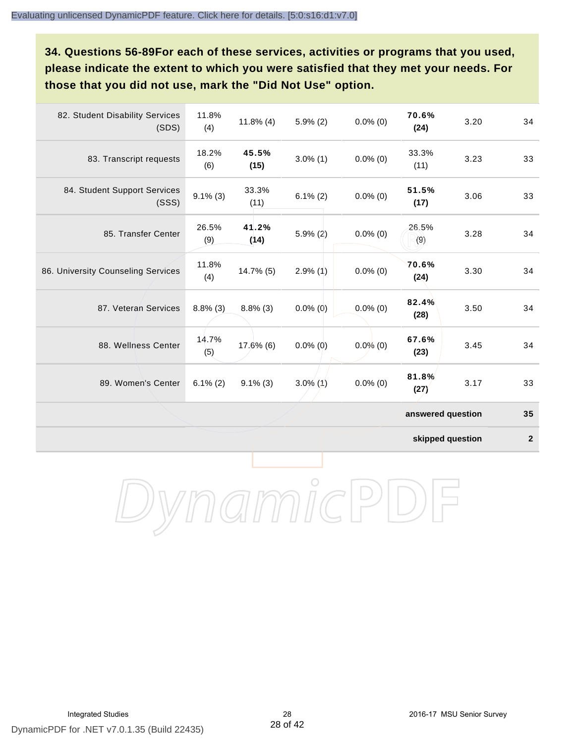**34. Questions 56-89For each of these services, activities or programs that you used, please indicate the extent to which you were satisfied that they met your needs. For those that you did not use, mark the "Did Not Use" option.**

| 82. Student Disability Services<br>(SDS) | 11.8%<br>(4) | $11.8\%$ (4)  | $5.9\%$ (2) | $0.0\%$ (0) | 70.6%<br>(24)     | 3.20 | 34 |
|------------------------------------------|--------------|---------------|-------------|-------------|-------------------|------|----|
| 83. Transcript requests                  | 18.2%<br>(6) | 45.5%<br>(15) | $3.0\%$ (1) | $0.0\%$ (0) | 33.3%<br>(11)     | 3.23 | 33 |
| 84. Student Support Services<br>(SSS)    | $9.1\%$ (3)  | 33.3%<br>(11) | $6.1\%(2)$  | $0.0\%$ (0) | 51.5%<br>(17)     | 3.06 | 33 |
| 85. Transfer Center                      | 26.5%<br>(9) | 41.2%<br>(14) | $5.9\%$ (2) | $0.0\%$ (0) | 26.5%<br>(9)      | 3.28 | 34 |
| 86. University Counseling Services       | 11.8%<br>(4) | 14.7% (5)     | $2.9\%$ (1) | $0.0\%$ (0) | 70.6%<br>(24)     | 3.30 | 34 |
| 87. Veteran Services                     | $8.8\%$ (3)  | $8.8\%$ (3)   | $0.0\%$ (0) | $0.0\%$ (0) | 82.4%<br>(28)     | 3.50 | 34 |
| 88. Wellness Center                      | 14.7%<br>(5) | 17.6% (6)     | $0.0\%$ (0) | $0.0\%$ (0) | 67.6%<br>(23)     | 3.45 | 34 |
| 89. Women's Center                       | $6.1\%(2)$   | $9.1\%$ (3)   | $3.0\%$ (1) | $0.0\%$ (0) | 81.8%<br>(27)     | 3.17 | 33 |
|                                          |              |               |             |             | answered question |      | 35 |

**skipped question 2**

DynamicPDF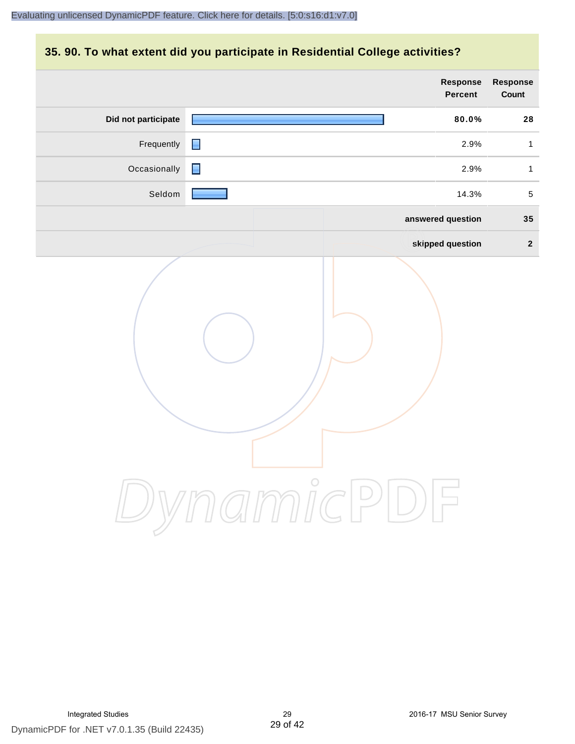# **35. 90. To what extent did you participate in Residential College activities?**

|                     |                |          |           | Response<br><b>Percent</b> | Response<br>Count |
|---------------------|----------------|----------|-----------|----------------------------|-------------------|
| Did not participate |                |          |           | 80.0%                      | 28                |
| Frequently          | $\blacksquare$ |          |           | 2.9%                       | $\mathbf{1}$      |
| Occasionally        | $\blacksquare$ |          |           | 2.9%                       | $\mathbf{1}$      |
| Seldom              |                |          |           | 14.3%                      | $\overline{5}$    |
|                     |                |          |           | answered question          | 35                |
|                     |                |          |           | skipped question           | $\overline{2}$    |
|                     |                | ynamicPl | $\bigcup$ |                            |                   |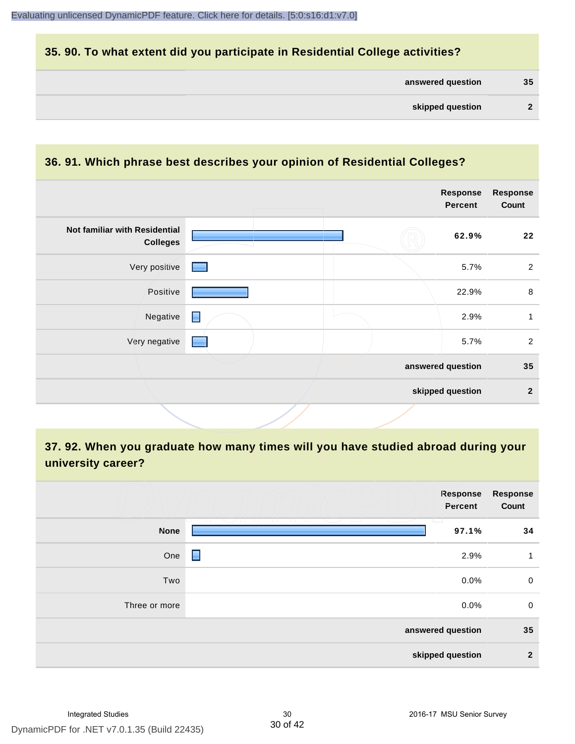# **35. 90. To what extent did you participate in Residential College activities?**

| answered question | 35 |
|-------------------|----|
|-------------------|----|

#### **36. 91. Which phrase best describes your opinion of Residential Colleges?**

|                                                  |                          | <b>Response</b><br><b>Percent</b> | <b>Response</b><br>Count |
|--------------------------------------------------|--------------------------|-----------------------------------|--------------------------|
| Not familiar with Residential<br><b>Colleges</b> |                          | 62.9%                             | 22                       |
| Very positive                                    | <b>Contract Contract</b> | 5.7%                              | $\overline{2}$           |
| Positive                                         |                          | 22.9%                             | $\,8\,$                  |
| Negative                                         | Е                        | 2.9%                              | 1                        |
| Very negative                                    |                          | 5.7%                              | 2                        |
|                                                  |                          | answered question                 | 35                       |
|                                                  |                          | skipped question                  | $\mathbf{2}$             |

# **37. 92. When you graduate how many times will you have studied abroad during your university career?**

|               | Response<br>Percent                                        | <b>Response</b><br>Count |
|---------------|------------------------------------------------------------|--------------------------|
| <b>None</b>   | T.<br>12 - 21 - CAS - 21 - 21<br>- 12 - 12 - 12 -<br>97.1% | 34                       |
| One           | Е<br>2.9%                                                  | 1                        |
| Two           | 0.0%                                                       | $\mathbf 0$              |
| Three or more | 0.0%                                                       | $\mathbf 0$              |
|               | answered question                                          | 35                       |
|               | skipped question                                           | $\mathbf{2}$             |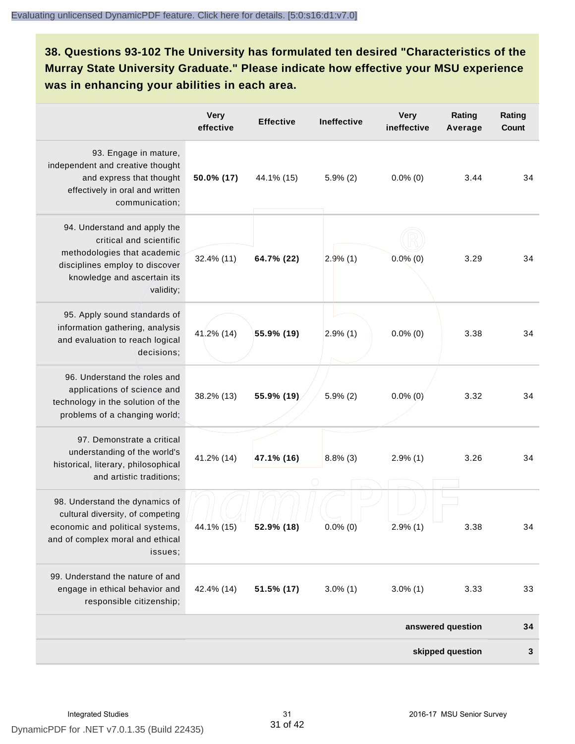**38. Questions 93-102 The University has formulated ten desired "Characteristics of the Murray State University Graduate." Please indicate how effective your MSU experience was in enhancing your abilities in each area.**

|                                                                                                                                                         | <b>Very</b><br>effective | <b>Effective</b> | Ineffective | <b>Very</b><br>ineffective | Rating<br>Average | Rating<br>Count |
|---------------------------------------------------------------------------------------------------------------------------------------------------------|--------------------------|------------------|-------------|----------------------------|-------------------|-----------------|
| 93. Engage in mature,<br>independent and creative thought<br>and express that thought<br>effectively in oral and written<br>communication;              | 50.0% (17)               | 44.1% (15)       | $5.9\%$ (2) | $0.0\%$ (0)                | 3.44              | 34              |
| 94. Understand and apply the<br>critical and scientific<br>methodologies that academic<br>disciplines employ to discover<br>knowledge and ascertain its | 32.4% (11)               | 64.7% (22)       | 2.9%(1)     | $0.0\%$ (0)                | 3.29              | 34              |
| validity;<br>95. Apply sound standards of<br>information gathering, analysis<br>and evaluation to reach logical<br>decisions;                           | 41.2% (14)               | 55.9% (19)       | $2.9\%$ (1) | $0.0\%$ (0)                | 3.38              | 34              |
| 96. Understand the roles and<br>applications of science and<br>technology in the solution of the<br>problems of a changing world;                       | 38.2% (13)               | 55.9% (19)       | $5.9\%$ (2) | $0.0\%$ (0)                | 3.32              | 34              |
| 97. Demonstrate a critical<br>understanding of the world's<br>historical, literary, philosophical<br>and artistic traditions;                           | 41.2% (14)               | 47.1% (16)       | $8.8\%$ (3) | 2.9%(1)                    | 3.26              | 34              |
| 98. Understand the dynamics of<br>cultural diversity, of competing<br>economic and political systems,<br>and of complex moral and ethical<br>issues;    | 44.1% (15)               | 52.9% (18)       | $0.0\%$ (0) | $2.9\%$ (1)                | 3.38              | 34              |
| 99. Understand the nature of and<br>engage in ethical behavior and<br>responsible citizenship;                                                          | 42.4% (14)               | 51.5% (17)       | $3.0\%$ (1) | $3.0\%$ (1)                | 3.33              | 33              |
|                                                                                                                                                         |                          |                  |             |                            | answered question | 34              |
|                                                                                                                                                         |                          |                  |             |                            | skipped question  | 3               |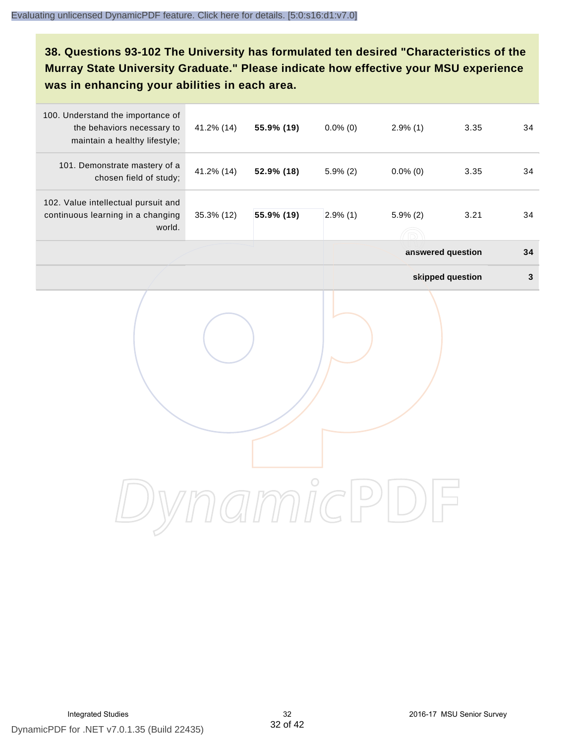# **38. Questions 93-102 The University has formulated ten desired "Characteristics of the Murray State University Graduate." Please indicate how effective your MSU experience was in enhancing your abilities in each area.**

| 100. Understand the importance of<br>the behaviors necessary to<br>maintain a healthy lifestyle; | 41.2% (14) | 55.9% (19) | $0.0\%$ (0) | $2.9\%$ (1)       | 3.35             | 34          |
|--------------------------------------------------------------------------------------------------|------------|------------|-------------|-------------------|------------------|-------------|
| 101. Demonstrate mastery of a<br>chosen field of study;                                          | 41.2% (14) | 52.9% (18) | $5.9\%$ (2) | $0.0\%$ (0)       | 3.35             | 34          |
| 102. Value intellectual pursuit and<br>continuous learning in a changing<br>world.               | 35.3% (12) | 55.9% (19) | $2.9\%$ (1) | $5.9\%$ (2)       | 3.21             | 34          |
|                                                                                                  |            |            |             | answered question |                  | 34          |
|                                                                                                  |            |            |             |                   | skipped question | $\mathbf 3$ |
|                                                                                                  |            |            |             |                   |                  |             |
|                                                                                                  |            |            |             |                   |                  |             |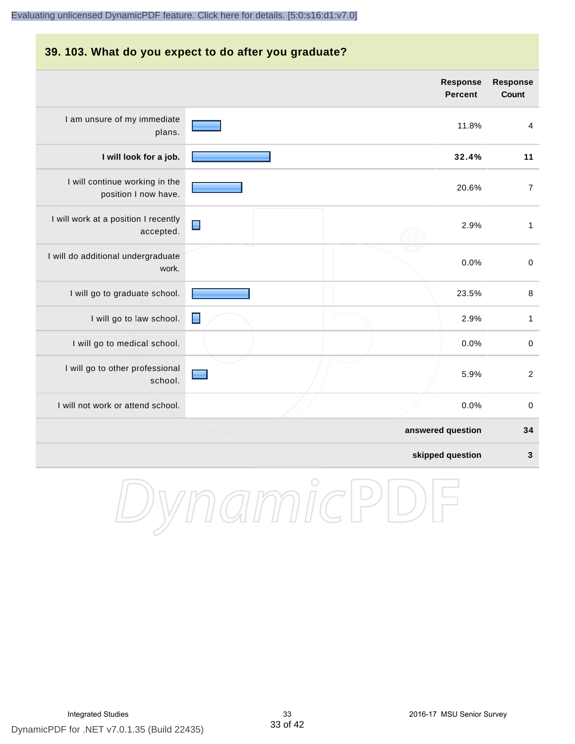### **39. 103. What do you expect to do after you graduate?**

|                                                        |                | <b>Response</b><br><b>Percent</b> | <b>Response</b><br><b>Count</b> |
|--------------------------------------------------------|----------------|-----------------------------------|---------------------------------|
| I am unsure of my immediate<br>plans.                  |                | 11.8%                             | $\overline{4}$                  |
| I will look for a job.                                 |                | 32.4%                             | 11                              |
| I will continue working in the<br>position I now have. |                | 20.6%                             | $\overline{7}$                  |
| I will work at a position I recently<br>accepted.      | Е              | 2.9%                              | $\mathbf{1}$                    |
| I will do additional undergraduate<br>work.            |                | 0.0%                              | $\boldsymbol{0}$                |
| I will go to graduate school.                          |                | 23.5%                             | $\, 8$                          |
| I will go to law school.                               | $\blacksquare$ | 2.9%                              | $\mathbf{1}$                    |
| I will go to medical school.                           |                | 0.0%                              | $\mathsf 0$                     |
| I will go to other professional<br>school.             |                | 5.9%                              | $\overline{2}$                  |
| I will not work or attend school.                      |                | 0.0%                              | $\pmb{0}$                       |
|                                                        |                | answered question                 | 34                              |
|                                                        |                | skipped question                  | 3                               |

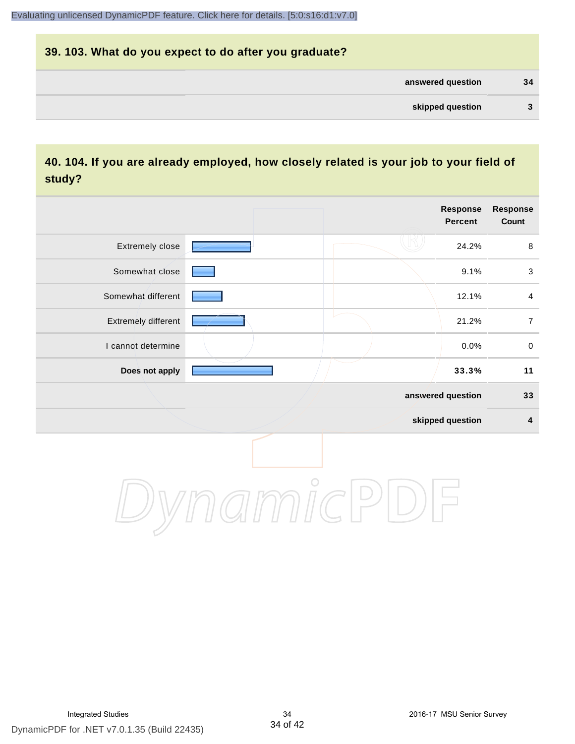# **39. 103. What do you expect to do after you graduate? answered question 34 skipped question 3**

# **40. 104. If you are already employed, how closely related is your job to your field of study?**

|                     |         | <b>Response</b><br><b>Percent</b> | Response<br>Count |
|---------------------|---------|-----------------------------------|-------------------|
| Extremely close     |         | 24.2%                             | $\,8\,$           |
| Somewhat close      |         | 9.1%                              | $\sqrt{3}$        |
| Somewhat different  |         | 12.1%                             | $\overline{4}$    |
| Extremely different |         | 21.2%                             | $\boldsymbol{7}$  |
| I cannot determine  |         | 0.0%                              | $\pmb{0}$         |
| Does not apply      |         | 33.3%                             | 11                |
|                     |         | answered question                 | 33                |
|                     |         | skipped question                  | $\boldsymbol{4}$  |
|                     | $\circ$ |                                   |                   |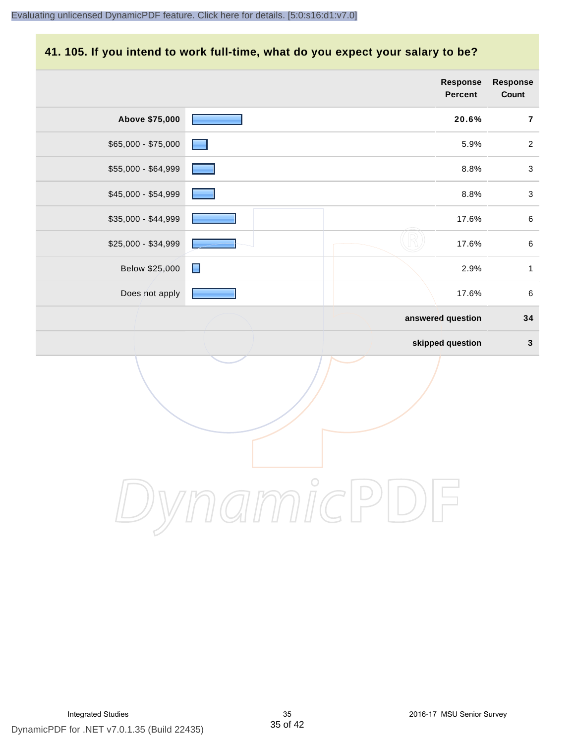#### **41. 105. If you intend to work full-time, what do you expect your salary to be?**

|                     |                              | Response<br>Percent | Response<br>Count |
|---------------------|------------------------------|---------------------|-------------------|
| Above \$75,000      |                              | 20.6%               | $\overline{7}$    |
| $$65,000 - $75,000$ |                              | 5.9%                | $\overline{2}$    |
| \$55,000 - \$64,999 |                              | 8.8%                | $\mathbf{3}$      |
| \$45,000 - \$54,999 |                              | 8.8%                | $\sqrt{3}$        |
| \$35,000 - \$44,999 |                              | 17.6%               | $\,6\,$           |
| \$25,000 - \$34,999 |                              | 17.6%               | $\,6\,$           |
| Below \$25,000      | $\qquad \qquad \blacksquare$ | 2.9%                | $\mathbf{1}$      |
| Does not apply      |                              | 17.6%               | $\,6\,$           |
|                     |                              | answered question   | 34                |
|                     |                              | skipped question    | $\mathbf{3}$      |
|                     |                              |                     |                   |

DynamicPDF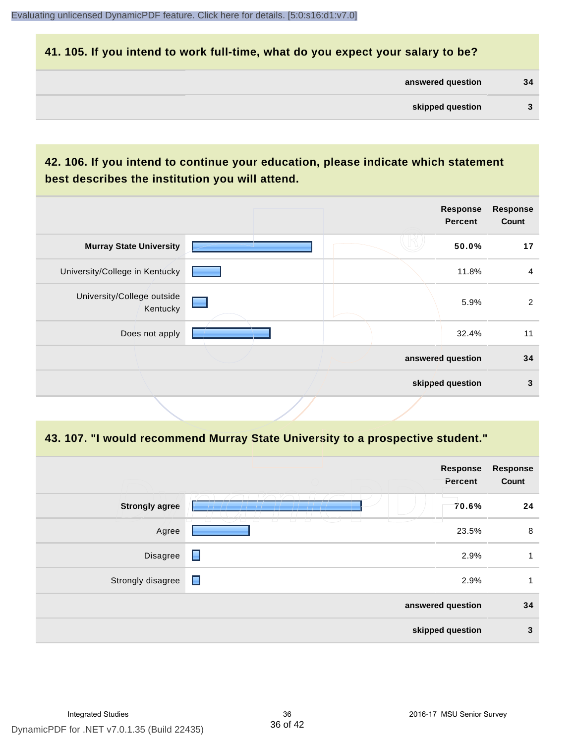#### **41. 105. If you intend to work full-time, what do you expect your salary to be?**

| answered question | 34 |
|-------------------|----|
|                   |    |

# **42. 106. If you intend to continue your education, please indicate which statement best describes the institution you will attend.**

|                                        |  | <b>Response</b><br><b>Percent</b> | <b>Response</b><br>Count |
|----------------------------------------|--|-----------------------------------|--------------------------|
| <b>Murray State University</b>         |  | 50.0%                             | 17                       |
| University/College in Kentucky         |  | 11.8%                             | $\overline{4}$           |
| University/College outside<br>Kentucky |  | 5.9%                              | $\overline{2}$           |
| Does not apply                         |  | 32.4%                             | 11                       |
|                                        |  | answered question                 | 34                       |
|                                        |  | skipped question                  | 3                        |
|                                        |  |                                   |                          |

#### **43. 107. "I would recommend Murray State University to a prospective student."**

| Response<br>Percent                                                 | <b>Response</b><br>Count |
|---------------------------------------------------------------------|--------------------------|
| <b>Strongly agree</b><br>70.6%<br>m                                 | 24                       |
| U<br>$\Box$<br>$\top$<br>$\overline{\phantom{a}}$<br>Agree<br>23.5% | 8                        |
| $\blacksquare$<br>Disagree<br>2.9%                                  | 1                        |
| $\blacksquare$<br>Strongly disagree<br>2.9%                         | 1                        |
| answered question                                                   | 34                       |
| skipped question                                                    | $\mathbf{3}$             |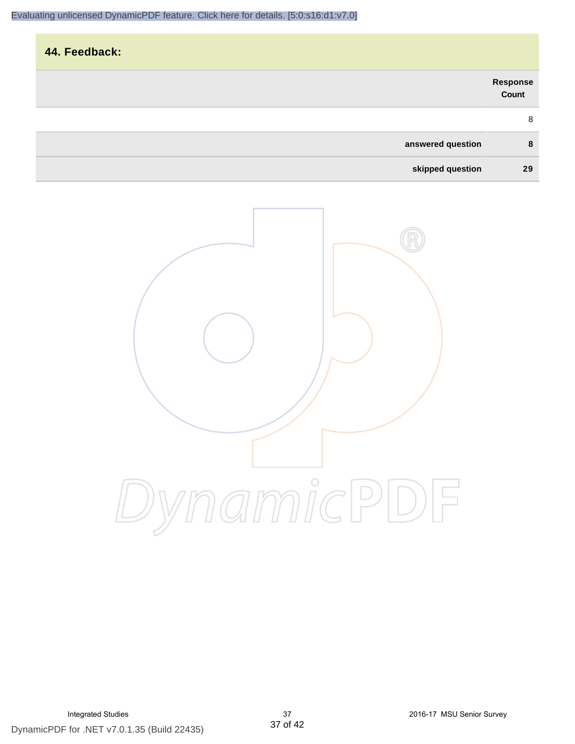| 44. Feedback:     |                   |
|-------------------|-------------------|
|                   | Response<br>Count |
|                   | 8                 |
| answered question | 8                 |
| skipped question  | 29                |

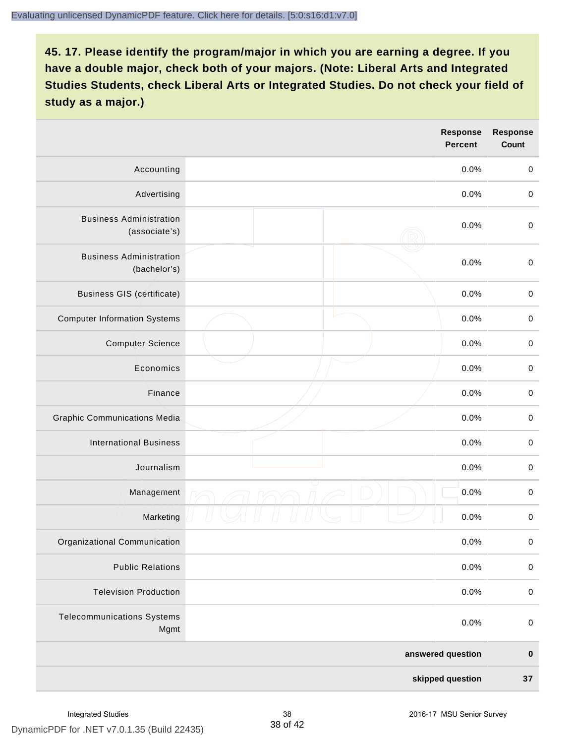|                                                 |  | <b>Response</b><br><b>Percent</b> | <b>Response</b><br>Count |
|-------------------------------------------------|--|-----------------------------------|--------------------------|
| Accounting                                      |  | 0.0%                              | $\mathbf 0$              |
| Advertising                                     |  | 0.0%                              | $\pmb{0}$                |
| <b>Business Administration</b><br>(associate's) |  | 0.0%                              | $\pmb{0}$                |
| <b>Business Administration</b><br>(bachelor's)  |  | 0.0%                              | $\pmb{0}$                |
| <b>Business GIS (certificate)</b>               |  | 0.0%                              | $\mathbf 0$              |
| <b>Computer Information Systems</b>             |  | 0.0%                              | $\pmb{0}$                |
| <b>Computer Science</b>                         |  | 0.0%                              | $\mathbf 0$              |
| Economics                                       |  | 0.0%                              | $\pmb{0}$                |
| Finance                                         |  | 0.0%                              | $\pmb{0}$                |
| <b>Graphic Communications Media</b>             |  | 0.0%                              | $\mathbf 0$              |
| <b>International Business</b>                   |  | 0.0%                              | $\pmb{0}$                |
| Journalism                                      |  | 0.0%                              | $\mathbf 0$              |
| Management                                      |  | 0.0%                              | $\pmb{0}$                |
| Marketing                                       |  | 0.0%                              | $\,0\,$                  |
| Organizational Communication                    |  | 0.0%                              | $\pmb{0}$                |
| <b>Public Relations</b>                         |  | 0.0%                              | $\mathbf 0$              |
| <b>Television Production</b>                    |  | 0.0%                              | $\mathsf 0$              |
| <b>Telecommunications Systems</b><br>Mgmt       |  | 0.0%                              | $\mathbf 0$              |
|                                                 |  | answered question                 | $\pmb{0}$                |
| skipped question                                |  | 37                                |                          |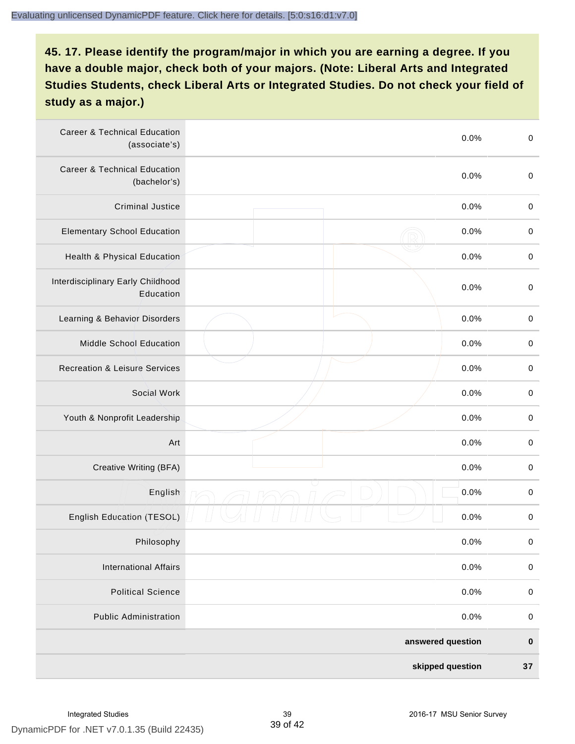| <b>Career &amp; Technical Education</b><br>(associate's) | 0.0%              | $\pmb{0}$   |
|----------------------------------------------------------|-------------------|-------------|
| <b>Career &amp; Technical Education</b><br>(bachelor's)  | 0.0%              | $\mathbf 0$ |
| <b>Criminal Justice</b>                                  | 0.0%              | $\,0\,$     |
| <b>Elementary School Education</b>                       | 0.0%              | $\,0\,$     |
| Health & Physical Education                              | 0.0%              | $\,0\,$     |
| Interdisciplinary Early Childhood<br>Education           | 0.0%              | $\pmb{0}$   |
| Learning & Behavior Disorders                            | 0.0%              | $\,0\,$     |
| Middle School Education                                  | 0.0%              | $\mathbf 0$ |
| <b>Recreation &amp; Leisure Services</b>                 | 0.0%              | $\mathbf 0$ |
| Social Work                                              | 0.0%              | $\mathbf 0$ |
| Youth & Nonprofit Leadership                             | 0.0%              | $\mathbf 0$ |
| Art                                                      | 0.0%              | $\,0\,$     |
| Creative Writing (BFA)                                   | 0.0%              | $\pmb{0}$   |
| English                                                  | 0.0%              | $\pmb{0}$   |
| English Education (TESOL)                                | 0.0%              | $\pmb{0}$   |
| Philosophy                                               | 0.0%              | 0           |
| <b>International Affairs</b>                             | 0.0%              | $\pmb{0}$   |
| <b>Political Science</b>                                 | 0.0%              | $\mathbf 0$ |
| <b>Public Administration</b>                             | 0.0%              | $\mathbf 0$ |
|                                                          | answered question | $\pmb{0}$   |
|                                                          | skipped question  | 37          |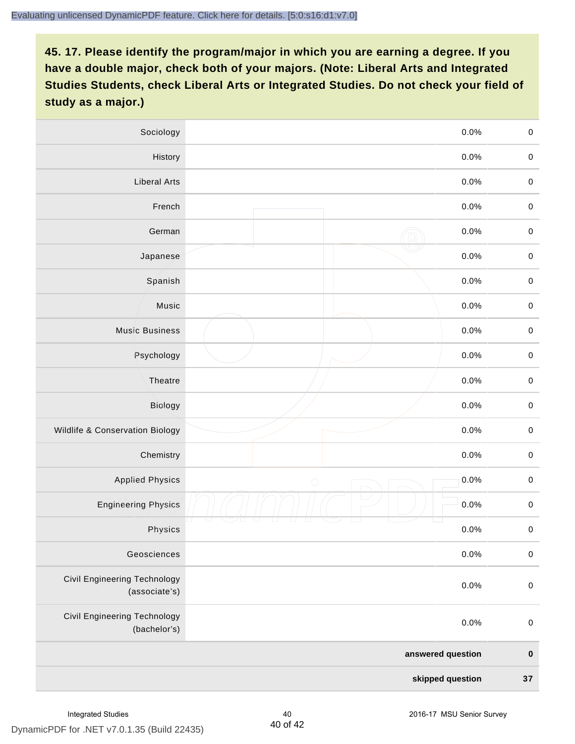| Sociology                                     |            | 0.0%    | $\mathbf 0$ |
|-----------------------------------------------|------------|---------|-------------|
| History                                       |            | $0.0\%$ | $\mathbf 0$ |
| <b>Liberal Arts</b>                           |            | 0.0%    | $\mathbf 0$ |
| French                                        |            | 0.0%    | $\pmb{0}$   |
| German                                        |            | 0.0%    | $\mathbf 0$ |
| Japanese                                      |            | 0.0%    | $\mathsf 0$ |
| Spanish                                       |            | 0.0%    | $\mathbf 0$ |
| Music                                         |            | 0.0%    | $\mathbf 0$ |
| <b>Music Business</b>                         |            | 0.0%    | $\pmb{0}$   |
| Psychology                                    |            | 0.0%    | $\mathbf 0$ |
| Theatre                                       |            | 0.0%    | $\mathbf 0$ |
| Biology                                       |            | 0.0%    | $\mathbf 0$ |
| Wildlife & Conservation Biology               |            | 0.0%    | $\mathbf 0$ |
| Chemistry                                     |            | 0.0%    | $\pmb{0}$   |
| <b>Applied Physics</b>                        | $\bigcirc$ | 0.0%    | $\mathbf 0$ |
| <b>Engineering Physics</b>                    |            | 0.0%    | $\mathbf 0$ |
| Physics                                       |            | 0.0%    | $\mathbf 0$ |
| Geosciences                                   |            | 0.0%    | $\mathbf 0$ |
| Civil Engineering Technology<br>(associate's) |            | 0.0%    | $\pmb{0}$   |
| Civil Engineering Technology<br>(bachelor's)  |            | 0.0%    | $\pmb{0}$   |
| answered question                             |            |         | $\pmb{0}$   |
| skipped question                              |            |         | $37\,$      |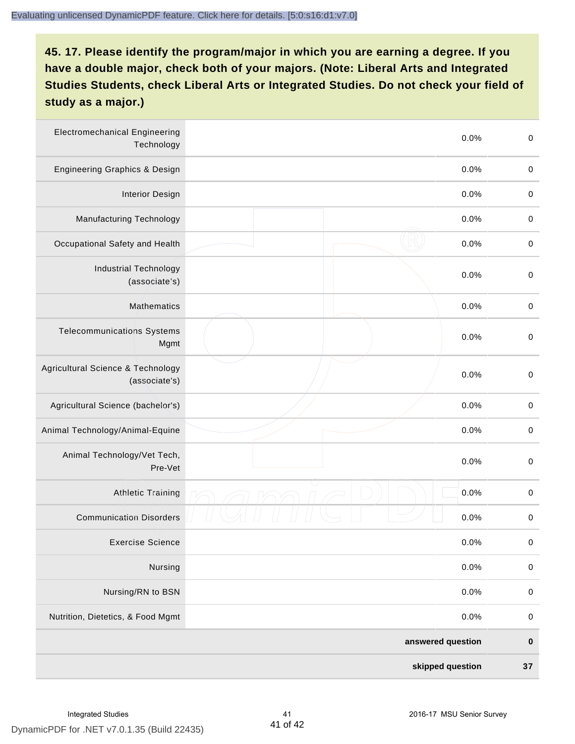| <b>Electromechanical Engineering</b><br>Technology | 0.0%              | $\mathbf 0$ |
|----------------------------------------------------|-------------------|-------------|
| <b>Engineering Graphics &amp; Design</b>           | 0.0%              | $\mathbf 0$ |
| <b>Interior Design</b>                             | 0.0%              | $\,0\,$     |
| Manufacturing Technology                           | 0.0%              | $\,0\,$     |
| Occupational Safety and Health                     | 0.0%              | $\pmb{0}$   |
| <b>Industrial Technology</b><br>(associate's)      | 0.0%              | $\,0\,$     |
| <b>Mathematics</b>                                 | 0.0%              | $\,0\,$     |
| <b>Telecommunications Systems</b><br>Mgmt          | 0.0%              | $\,0\,$     |
| Agricultural Science & Technology<br>(associate's) | 0.0%              | $\mathbf 0$ |
| Agricultural Science (bachelor's)                  | 0.0%              | $\mathbf 0$ |
| Animal Technology/Animal-Equine                    | 0.0%              | $\,0\,$     |
| Animal Technology/Vet Tech,<br>Pre-Vet             | 0.0%              | $\,0\,$     |
| Athletic Training                                  | 0.0%              | $\,0\,$     |
| <b>Communication Disorders</b>                     | 0.0%              | $\,0\,$     |
| <b>Exercise Science</b>                            | 0.0%              | $\pmb{0}$   |
| Nursing                                            | 0.0%              | $\mathbf 0$ |
| Nursing/RN to BSN                                  | 0.0%              | $\pmb{0}$   |
| Nutrition, Dietetics, & Food Mgmt                  | 0.0%              | $\,0\,$     |
|                                                    | answered question | $\pmb{0}$   |
|                                                    | skipped question  | $37\,$      |